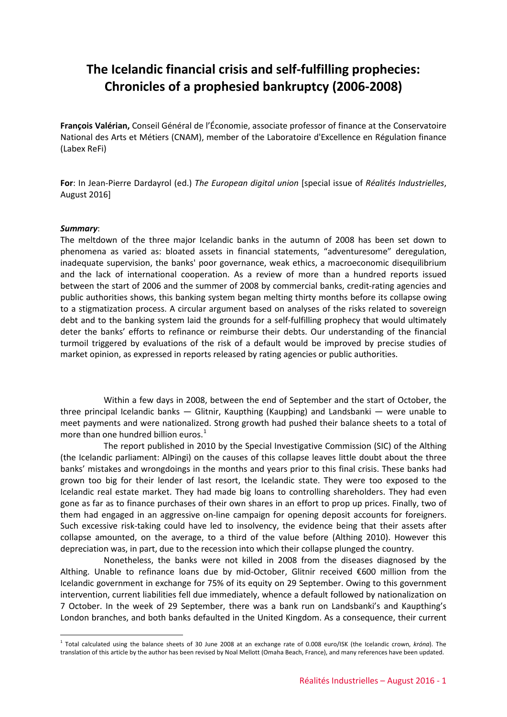# **The Icelandic financial crisis and self-fulfilling prophecies: Chronicles of a prophesied bankruptcy (2006-2008)**

**François Valérian,** Conseil Général de l'Économie, associate professor of finance at the Conservatoire National des Arts et Métiers (CNAM), member of the Laboratoire d'Excellence en Régulation finance (Labex ReFi)

**For**: In Jean-Pierre Dardayrol (ed.) *The European digital union* [special issue of *Réalités Industrielles*, August 2016]

#### *Summary*:

<u>.</u>

The meltdown of the three major Icelandic banks in the autumn of 2008 has been set down to phenomena as varied as: bloated assets in financial statements, "adventuresome" deregulation, inadequate supervision, the banks' poor governance, weak ethics, a macroeconomic disequilibrium and the lack of international cooperation. As a review of more than a hundred reports issued between the start of 2006 and the summer of 2008 by commercial banks, credit-rating agencies and public authorities shows, this banking system began melting thirty months before its collapse owing to a stigmatization process. A circular argument based on analyses of the risks related to sovereign debt and to the banking system laid the grounds for a self-fulfilling prophecy that would ultimately deter the banks' efforts to refinance or reimburse their debts. Our understanding of the financial turmoil triggered by evaluations of the risk of a default would be improved by precise studies of market opinion, as expressed in reports released by rating agencies or public authorities.

Within a few days in 2008, between the end of September and the start of October, the three principal Icelandic banks — Glitnir, Kaupthing (Kaupþing) and Landsbanki — were unable to meet payments and were nationalized. Strong growth had pushed their balance sheets to a total of more than one hundred billion euros. $<sup>1</sup>$  $<sup>1</sup>$  $<sup>1</sup>$ </sup>

The report published in 2010 by the Special Investigative Commission (SIC) of the Althing (the Icelandic parliament: AlÞingi) on the causes of this collapse leaves little doubt about the three banks' mistakes and wrongdoings in the months and years prior to this final crisis. These banks had grown too big for their lender of last resort, the Icelandic state. They were too exposed to the Icelandic real estate market. They had made big loans to controlling shareholders. They had even gone as far as to finance purchases of their own shares in an effort to prop up prices. Finally, two of them had engaged in an aggressive on-line campaign for opening deposit accounts for foreigners. Such excessive risk-taking could have led to insolvency, the evidence being that their assets after collapse amounted, on the average, to a third of the value before (Althing 2010). However this depreciation was, in part, due to the recession into which their collapse plunged the country.

Nonetheless, the banks were not killed in 2008 from the diseases diagnosed by the Althing. Unable to refinance loans due by mid-October, Glitnir received €600 million from the Icelandic government in exchange for 75% of its equity on 29 September. Owing to this government intervention, current liabilities fell due immediately, whence a default followed by nationalization on 7 October. In the week of 29 September, there was a bank run on Landsbanki's and Kaupthing's London branches, and both banks defaulted in the United Kingdom. As a consequence, their current

<span id="page-0-0"></span><sup>1</sup> Total calculated using the balance sheets of 30 June 2008 at an exchange rate of 0.008 euro/ISK (the Icelandic crown, *króna*). The translation of this article by the author has been revised by Noal Mellott (Omaha Beach, France), and many references have been updated.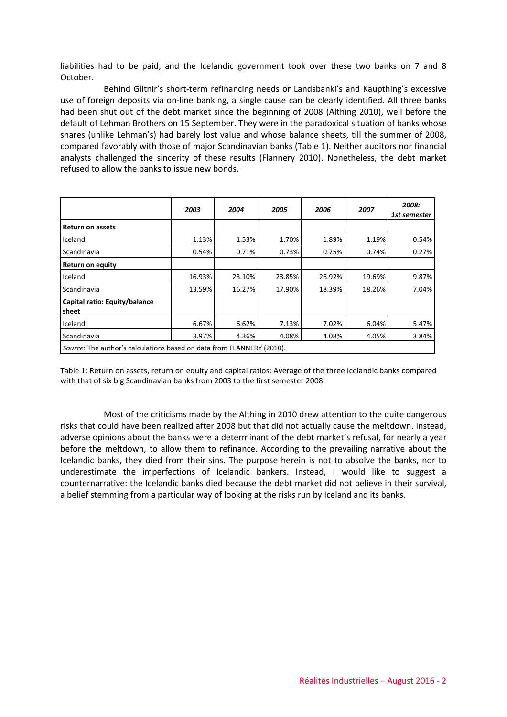liabilities had to be paid, and the Icelandic government took over these two banks on 7 and 8 October.

Behind Glitnir's short-term refinancing needs or Landsbanki's and Kaupthing's excessive use of foreign deposits via on-line banking, a single cause can be clearly identified. All three banks had been shut out of the debt market since the beginning of 2008 (Althing 2010), well before the default of Lehman Brothers on 15 September. They were in the paradoxical situation of banks whose shares (unlike Lehman's) had barely lost value and whose balance sheets, till the summer of 2008, compared favorably with those of major Scandinavian banks (Table 1). Neither auditors nor financial analysts challenged the sincerity of these results (Flannery 2010). Nonetheless, the debt market refused to allow the banks to issue new bonds.

|                                                                       | 2003   | 2004   | 2005   | 2006   | 2007   | 2008:<br>1st semester |
|-----------------------------------------------------------------------|--------|--------|--------|--------|--------|-----------------------|
| <b>Return on assets</b>                                               |        |        |        |        |        |                       |
| Iceland                                                               | 1.13%  | 1.53%  | 1.70%  | 1.89%  | 1.19%  | 0.54%                 |
| Scandinavia                                                           | 0.54%  | 0.71%  | 0.73%  | 0.75%  | 0.74%  | 0.27%                 |
| <b>Return on equity</b>                                               |        |        |        |        |        |                       |
| Iceland                                                               | 16.93% | 23.10% | 23.85% | 26.92% | 19.69% | 9.87%                 |
| Scandinavia                                                           | 13.59% | 16.27% | 17.90% | 18.39% | 18.26% | 7.04%                 |
| Capital ratio: Equity/balance<br>sheet                                |        |        |        |        |        |                       |
| Iceland                                                               | 6.67%  | 6.62%  | 7.13%  | 7.02%  | 6.04%  | 5.47%                 |
| Scandinavia                                                           | 3.97%  | 4.36%  | 4.08%  | 4.08%  | 4.05%  | 3.84%                 |
| Source: The author's calculations based on data from FLANNERY (2010). |        |        |        |        |        |                       |

Table 1: Return on assets, return on equity and capital ratios: Average of the three Icelandic banks compared with that of six big Scandinavian banks from 2003 to the first semester 2008

Most of the criticisms made by the Althing in 2010 drew attention to the quite dangerous risks that could have been realized after 2008 but that did not actually cause the meltdown. Instead, adverse opinions about the banks were a determinant of the debt market's refusal, for nearly a year before the meltdown, to allow them to refinance. According to the prevailing narrative about the Icelandic banks, they died from their sins. The purpose herein is not to absolve the banks, nor to underestimate the imperfections of Icelandic bankers. Instead, I would like to suggest a counternarrative: the Icelandic banks died because the debt market did not believe in their survival, a belief stemming from a particular way of looking at the risks run by Iceland and its banks.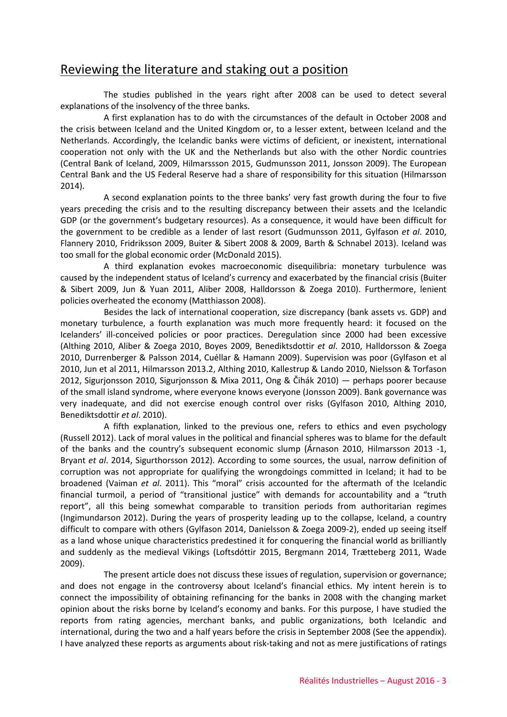### Reviewing the literature and staking out a position

The studies published in the years right after 2008 can be used to detect several explanations of the insolvency of the three banks.

A first explanation has to do with the circumstances of the default in October 2008 and the crisis between Iceland and the United Kingdom or, to a lesser extent, between Iceland and the Netherlands. Accordingly, the Icelandic banks were victims of deficient, or inexistent, international cooperation not only with the UK and the Netherlands but also with the other Nordic countries (Central Bank of Iceland, 2009, Hilmarssson 2015, Gudmunsson 2011, Jonsson 2009). The European Central Bank and the US Federal Reserve had a share of responsibility for this situation (Hilmarsson 2014).

A second explanation points to the three banks' very fast growth during the four to five years preceding the crisis and to the resulting discrepancy between their assets and the Icelandic GDP (or the government's budgetary resources). As a consequence, it would have been difficult for the government to be credible as a lender of last resort (Gudmunsson 2011, Gylfason *et al*. 2010, Flannery 2010, Fridriksson 2009, Buiter & Sibert 2008 & 2009, Barth & Schnabel 2013). Iceland was too small for the global economic order (McDonald 2015).

A third explanation evokes macroeconomic disequilibria: monetary turbulence was caused by the independent status of Iceland's currency and exacerbated by the financial crisis (Buiter & Sibert 2009, Jun & Yuan 2011, Aliber 2008, Halldorsson & Zoega 2010). Furthermore, lenient policies overheated the economy (Matthiasson 2008).

Besides the lack of international cooperation, size discrepancy (bank assets vs. GDP) and monetary turbulence, a fourth explanation was much more frequently heard: it focused on the Icelanders' ill-conceived policies or poor practices. Deregulation since 2000 had been excessive (Althing 2010, Aliber & Zoega 2010, Boyes 2009, Benediktsdottir *et al*. 2010, Halldorsson & Zoega 2010, Durrenberger & Palsson 2014, Cuéllar & Hamann 2009). Supervision was poor (Gylfason et al 2010, Jun et al 2011, Hilmarsson 2013.2, Althing 2010, Kallestrup & Lando 2010, Nielsson & Torfason 2012, Sigurjonsson 2010, Sigurjonsson & Mixa 2011, Ong & Čihák 2010) — perhaps poorer because of the small island syndrome, where everyone knows everyone (Jonsson 2009). Bank governance was very inadequate, and did not exercise enough control over risks (Gylfason 2010, Althing 2010, Benediktsdottir *et al*. 2010).

A fifth explanation, linked to the previous one, refers to ethics and even psychology (Russell 2012). Lack of moral values in the political and financial spheres was to blame for the default of the banks and the country's subsequent economic slump (Árnason 2010, Hilmarsson 2013 -1, Bryant *et al*. 2014, Sigurthorsson 2012). According to some sources, the usual, narrow definition of corruption was not appropriate for qualifying the wrongdoings committed in Iceland; it had to be broadened (Vaiman *et al*. 2011). This "moral" crisis accounted for the aftermath of the Icelandic financial turmoil, a period of "transitional justice" with demands for accountability and a "truth report", all this being somewhat comparable to transition periods from authoritarian regimes (Ingimundarson 2012). During the years of prosperity leading up to the collapse, Iceland, a country difficult to compare with others (Gylfason 2014, Danielsson & Zoega 2009-2), ended up seeing itself as a land whose unique characteristics predestined it for conquering the financial world as brilliantly and suddenly as the medieval Vikings (Loftsdóttir 2015, Bergmann 2014, Trætteberg 2011, Wade 2009).

The present article does not discuss these issues of regulation, supervision or governance; and does not engage in the controversy about Iceland's financial ethics. My intent herein is to connect the impossibility of obtaining refinancing for the banks in 2008 with the changing market opinion about the risks borne by Iceland's economy and banks. For this purpose, I have studied the reports from rating agencies, merchant banks, and public organizations, both Icelandic and international, during the two and a half years before the crisis in September 2008 (See the appendix). I have analyzed these reports as arguments about risk-taking and not as mere justifications of ratings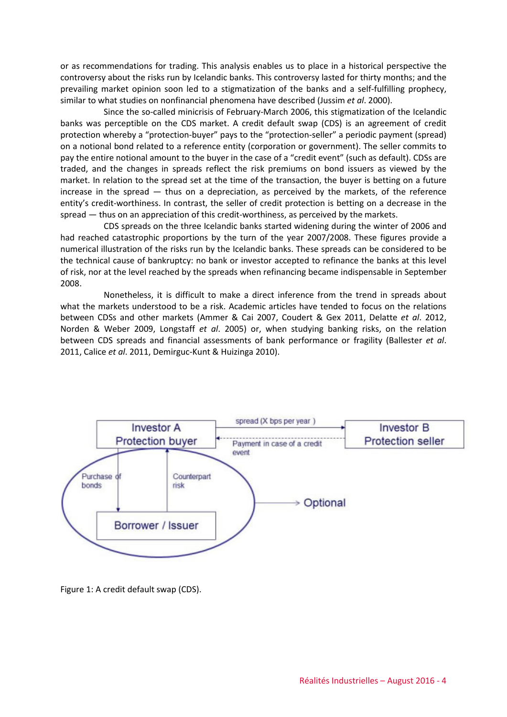or as recommendations for trading. This analysis enables us to place in a historical perspective the controversy about the risks run by Icelandic banks. This controversy lasted for thirty months; and the prevailing market opinion soon led to a stigmatization of the banks and a self-fulfilling prophecy, similar to what studies on nonfinancial phenomena have described (Jussim *et al*. 2000).

Since the so-called minicrisis of February-March 2006, this stigmatization of the Icelandic banks was perceptible on the CDS market. A credit default swap (CDS) is an agreement of credit protection whereby a "protection-buyer" pays to the "protection-seller" a periodic payment (spread) on a notional bond related to a reference entity (corporation or government). The seller commits to pay the entire notional amount to the buyer in the case of a "credit event" (such as default). CDSs are traded, and the changes in spreads reflect the risk premiums on bond issuers as viewed by the market. In relation to the spread set at the time of the transaction, the buyer is betting on a future increase in the spread — thus on a depreciation, as perceived by the markets, of the reference entity's credit-worthiness. In contrast, the seller of credit protection is betting on a decrease in the spread — thus on an appreciation of this credit-worthiness, as perceived by the markets.

CDS spreads on the three Icelandic banks started widening during the winter of 2006 and had reached catastrophic proportions by the turn of the year 2007/2008. These figures provide a numerical illustration of the risks run by the Icelandic banks. These spreads can be considered to be the technical cause of bankruptcy: no bank or investor accepted to refinance the banks at this level of risk, nor at the level reached by the spreads when refinancing became indispensable in September 2008.

Nonetheless, it is difficult to make a direct inference from the trend in spreads about what the markets understood to be a risk. Academic articles have tended to focus on the relations between CDSs and other markets (Ammer & Cai 2007, Coudert & Gex 2011, Delatte *et al*. 2012, Norden & Weber 2009, Longstaff *et al*. 2005) or, when studying banking risks, on the relation between CDS spreads and financial assessments of bank performance or fragility (Ballester *et al*. 2011, Calice *et al*. 2011, Demirguc-Kunt & Huizinga 2010).



Figure 1: A credit default swap (CDS).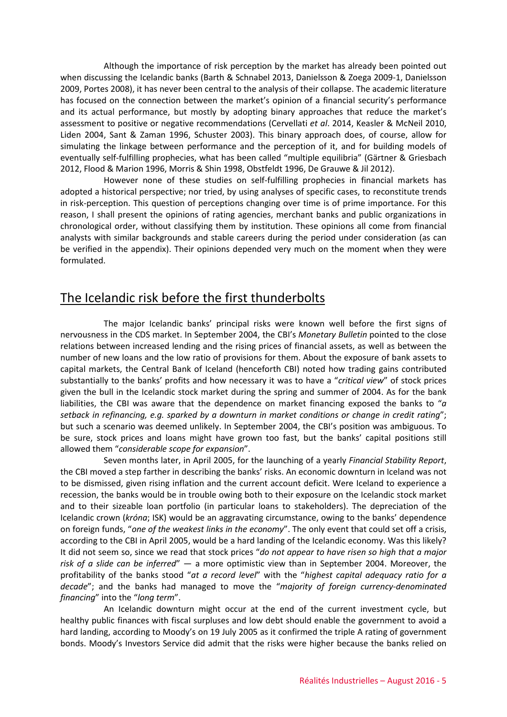Although the importance of risk perception by the market has already been pointed out when discussing the Icelandic banks (Barth & Schnabel 2013, Danielsson & Zoega 2009-1, Danielsson 2009, Portes 2008), it has never been central to the analysis of their collapse. The academic literature has focused on the connection between the market's opinion of a financial security's performance and its actual performance, but mostly by adopting binary approaches that reduce the market's assessment to positive or negative recommendations (Cervellati *et al*. 2014, Keasler & McNeil 2010, Liden 2004, Sant & Zaman 1996, Schuster 2003). This binary approach does, of course, allow for simulating the linkage between performance and the perception of it, and for building models of eventually self-fulfilling prophecies, what has been called "multiple equilibria" (Gärtner & Griesbach 2012, Flood & Marion 1996, Morris & Shin 1998, Obstfeldt 1996, De Grauwe & Jil 2012).

However none of these studies on self-fulfilling prophecies in financial markets has adopted a historical perspective; nor tried, by using analyses of specific cases, to reconstitute trends in risk-perception. This question of perceptions changing over time is of prime importance. For this reason, I shall present the opinions of rating agencies, merchant banks and public organizations in chronological order, without classifying them by institution. These opinions all come from financial analysts with similar backgrounds and stable careers during the period under consideration (as can be verified in the appendix). Their opinions depended very much on the moment when they were formulated.

### The Icelandic risk before the first thunderbolts

The major Icelandic banks' principal risks were known well before the first signs of nervousness in the CDS market. In September 2004, the CBI's *Monetary Bulletin* pointed to the close relations between increased lending and the rising prices of financial assets, as well as between the number of new loans and the low ratio of provisions for them. About the exposure of bank assets to capital markets, the Central Bank of Iceland (henceforth CBI) noted how trading gains contributed substantially to the banks' profits and how necessary it was to have a "*critical view*" of stock prices given the bull in the Icelandic stock market during the spring and summer of 2004. As for the bank liabilities, the CBI was aware that the dependence on market financing exposed the banks to "*a setback in refinancing, e.g. sparked by a downturn in market conditions or change in credit rating*"; but such a scenario was deemed unlikely. In September 2004, the CBI's position was ambiguous. To be sure, stock prices and loans might have grown too fast, but the banks' capital positions still allowed them "*considerable scope for expansion*".

Seven months later, in April 2005, for the launching of a yearly *Financial Stability Report*, the CBI moved a step farther in describing the banks' risks. An economic downturn in Iceland was not to be dismissed, given rising inflation and the current account deficit. Were Iceland to experience a recession, the banks would be in trouble owing both to their exposure on the Icelandic stock market and to their sizeable loan portfolio (in particular loans to stakeholders). The depreciation of the Icelandic crown (*króna*; ISK) would be an aggravating circumstance, owing to the banks' dependence on foreign funds, "*one of the weakest links in the economy*". The only event that could set off a crisis, according to the CBI in April 2005, would be a hard landing of the Icelandic economy. Was this likely? It did not seem so, since we read that stock prices "*do not appear to have risen so high that a major risk of a slide can be inferred*" — a more optimistic view than in September 2004. Moreover, the profitability of the banks stood "*at a record level*" with the "*highest capital adequacy ratio for a decade*"; and the banks had managed to move the "*majority of foreign currency-denominated financing*" into the "*long term*".

An Icelandic downturn might occur at the end of the current investment cycle, but healthy public finances with fiscal surpluses and low debt should enable the government to avoid a hard landing, according to Moody's on 19 July 2005 as it confirmed the triple A rating of government bonds. Moody's Investors Service did admit that the risks were higher because the banks relied on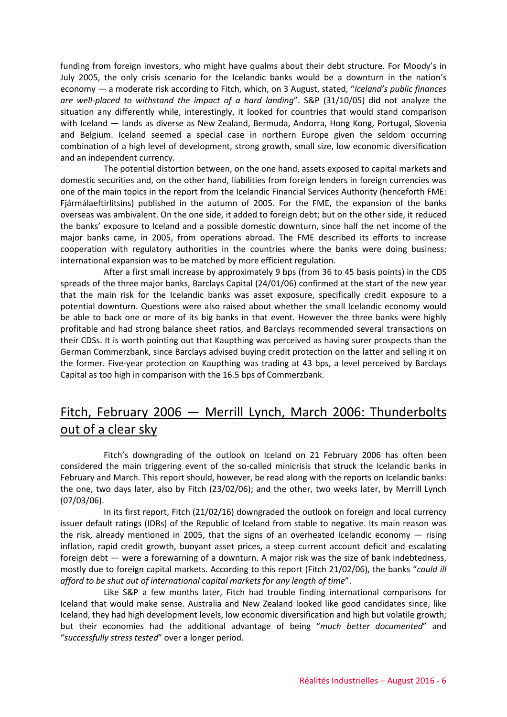funding from foreign investors, who might have qualms about their debt structure. For Moody's in July 2005, the only crisis scenario for the Icelandic banks would be a downturn in the nation's economy — a moderate risk according to Fitch, which, on 3 August, stated, "*Iceland's public finances are well-placed to withstand the impact of a hard landing*". S&P (31/10/05) did not analyze the situation any differently while, interestingly, it looked for countries that would stand comparison with Iceland — lands as diverse as New Zealand, Bermuda, Andorra, Hong Kong, Portugal, Slovenia and Belgium. Iceland seemed a special case in northern Europe given the seldom occurring combination of a high level of development, strong growth, small size, low economic diversification and an independent currency.

The potential distortion between, on the one hand, assets exposed to capital markets and domestic securities and, on the other hand, liabilities from foreign lenders in foreign currencies was one of the main topics in the report from the Icelandic Financial Services Authority (henceforth FME: Fiármálaeftirlitsins) published in the autumn of 2005. For the FME, the expansion of the banks overseas was ambivalent. On the one side, it added to foreign debt; but on the other side, it reduced the banks' exposure to Iceland and a possible domestic downturn, since half the net income of the major banks came, in 2005, from operations abroad. The FME described its efforts to increase cooperation with regulatory authorities in the countries where the banks were doing business: international expansion was to be matched by more efficient regulation.

After a first small increase by approximately 9 bps (from 36 to 45 basis points) in the CDS spreads of the three major banks, Barclays Capital (24/01/06) confirmed at the start of the new year that the main risk for the Icelandic banks was asset exposure, specifically credit exposure to a potential downturn. Questions were also raised about whether the small Icelandic economy would be able to back one or more of its big banks in that event. However the three banks were highly profitable and had strong balance sheet ratios, and Barclays recommended several transactions on their CDSs. It is worth pointing out that Kaupthing was perceived as having surer prospects than the German Commerzbank, since Barclays advised buying credit protection on the latter and selling it on the former. Five-year protection on Kaupthing was trading at 43 bps, a level perceived by Barclays Capital as too high in comparison with the 16.5 bps of Commerzbank.

## Fitch, February 2006 — Merrill Lynch, March 2006: Thunderbolts out of a clear sky

Fitch's downgrading of the outlook on Iceland on 21 February 2006 has often been considered the main triggering event of the so-called minicrisis that struck the Icelandic banks in February and March. This report should, however, be read along with the reports on Icelandic banks: the one, two days later, also by Fitch (23/02/06); and the other, two weeks later, by Merrill Lynch (07/03/06).

In its first report, Fitch (21/02/16) downgraded the outlook on foreign and local currency issuer default ratings (IDRs) of the Republic of Iceland from stable to negative. Its main reason was the risk, already mentioned in 2005, that the signs of an overheated Icelandic economy — rising inflation, rapid credit growth, buoyant asset prices, a steep current account deficit and escalating foreign debt — were a forewarning of a downturn. A major risk was the size of bank indebtedness, mostly due to foreign capital markets. According to this report (Fitch 21/02/06), the banks "*could ill afford to be shut out of international capital markets for any length of time*".

Like S&P a few months later, Fitch had trouble finding international comparisons for Iceland that would make sense. Australia and New Zealand looked like good candidates since, like Iceland, they had high development levels, low economic diversification and high but volatile growth; but their economies had the additional advantage of being "*much better documented*" and "*successfully stress tested*" over a longer period.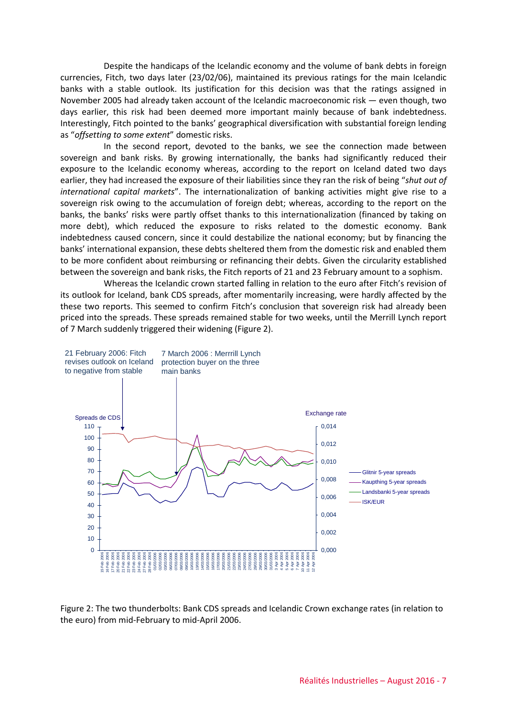Despite the handicaps of the Icelandic economy and the volume of bank debts in foreign currencies, Fitch, two days later (23/02/06), maintained its previous ratings for the main Icelandic banks with a stable outlook. Its justification for this decision was that the ratings assigned in November 2005 had already taken account of the Icelandic macroeconomic risk — even though, two days earlier, this risk had been deemed more important mainly because of bank indebtedness. Interestingly, Fitch pointed to the banks' geographical diversification with substantial foreign lending as "*offsetting to some extent*" domestic risks.

In the second report, devoted to the banks, we see the connection made between sovereign and bank risks. By growing internationally, the banks had significantly reduced their exposure to the Icelandic economy whereas, according to the report on Iceland dated two days earlier, they had increased the exposure of their liabilities since they ran the risk of being "*shut out of international capital markets*". The internationalization of banking activities might give rise to a sovereign risk owing to the accumulation of foreign debt; whereas, according to the report on the banks, the banks' risks were partly offset thanks to this internationalization (financed by taking on more debt), which reduced the exposure to risks related to the domestic economy. Bank indebtedness caused concern, since it could destabilize the national economy; but by financing the banks' international expansion, these debts sheltered them from the domestic risk and enabled them to be more confident about reimbursing or refinancing their debts. Given the circularity established between the sovereign and bank risks, the Fitch reports of 21 and 23 February amount to a sophism.

Whereas the Icelandic crown started falling in relation to the euro after Fitch's revision of its outlook for Iceland, bank CDS spreads, after momentarily increasing, were hardly affected by the these two reports. This seemed to confirm Fitch's conclusion that sovereign risk had already been priced into the spreads. These spreads remained stable for two weeks, until the Merrill Lynch report of 7 March suddenly triggered their widening (Figure 2).



Figure 2: The two thunderbolts: Bank CDS spreads and Icelandic Crown exchange rates (in relation to the euro) from mid-February to mid-April 2006.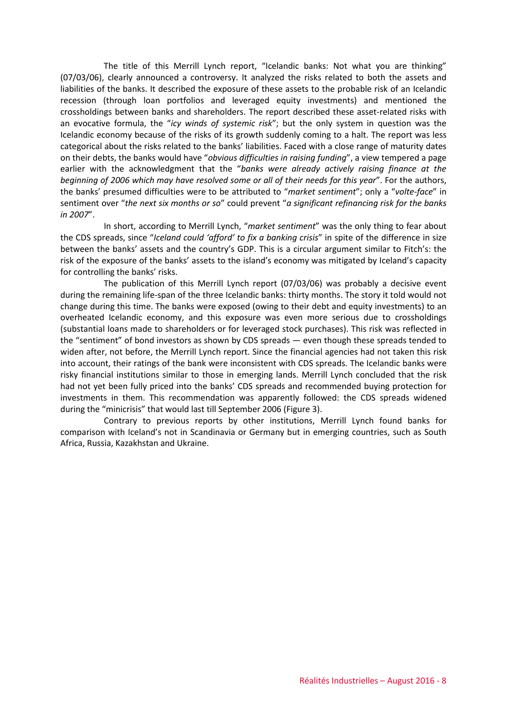The title of this Merrill Lynch report, "Icelandic banks: Not what you are thinking" (07/03/06), clearly announced a controversy. It analyzed the risks related to both the assets and liabilities of the banks. It described the exposure of these assets to the probable risk of an Icelandic recession (through loan portfolios and leveraged equity investments) and mentioned the crossholdings between banks and shareholders. The report described these asset-related risks with an evocative formula, the "*icy winds of systemic risk*"; but the only system in question was the Icelandic economy because of the risks of its growth suddenly coming to a halt. The report was less categorical about the risks related to the banks' liabilities. Faced with a close range of maturity dates on their debts, the banks would have "*obvious difficulties in raising funding*", a view tempered a page earlier with the acknowledgment that the "*banks were already actively raising finance at the beginning of 2006 which may have resolved some or all of their needs for this year*". For the authors, the banks' presumed difficulties were to be attributed to "*market sentiment*"; only a "*volte-face*" in sentiment over "*the next six months or so*" could prevent "*a significant refinancing risk for the banks in 2007*".

In short, according to Merrill Lynch, "*market sentiment*" was the only thing to fear about the CDS spreads, since "*Iceland could 'afford' to fix a banking crisis*" in spite of the difference in size between the banks' assets and the country's GDP. This is a circular argument similar to Fitch's: the risk of the exposure of the banks' assets to the island's economy was mitigated by Iceland's capacity for controlling the banks' risks.

The publication of this Merrill Lynch report (07/03/06) was probably a decisive event during the remaining life-span of the three Icelandic banks: thirty months. The story it told would not change during this time. The banks were exposed (owing to their debt and equity investments) to an overheated Icelandic economy, and this exposure was even more serious due to crossholdings (substantial loans made to shareholders or for leveraged stock purchases). This risk was reflected in the "sentiment" of bond investors as shown by CDS spreads — even though these spreads tended to widen after, not before, the Merrill Lynch report. Since the financial agencies had not taken this risk into account, their ratings of the bank were inconsistent with CDS spreads. The Icelandic banks were risky financial institutions similar to those in emerging lands. Merrill Lynch concluded that the risk had not yet been fully priced into the banks' CDS spreads and recommended buying protection for investments in them. This recommendation was apparently followed: the CDS spreads widened during the "minicrisis" that would last till September 2006 (Figure 3).

Contrary to previous reports by other institutions, Merrill Lynch found banks for comparison with Iceland's not in Scandinavia or Germany but in emerging countries, such as South Africa, Russia, Kazakhstan and Ukraine.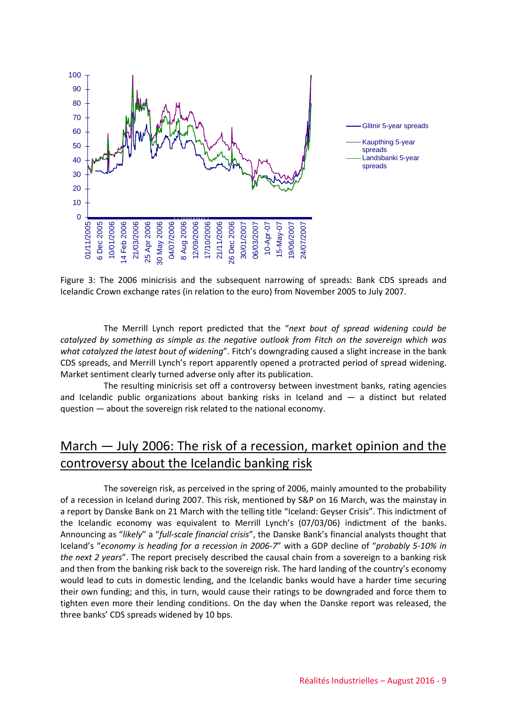

Figure 3: The 2006 minicrisis and the subsequent narrowing of spreads: Bank CDS spreads and Icelandic Crown exchange rates (in relation to the euro) from November 2005 to July 2007.

The Merrill Lynch report predicted that the "*next bout of spread widening could be catalyzed by something as simple as the negative outlook from Fitch on the sovereign which was what catalyzed the latest bout of widening*". Fitch's downgrading caused a slight increase in the bank CDS spreads, and Merrill Lynch's report apparently opened a protracted period of spread widening. Market sentiment clearly turned adverse only after its publication.

The resulting minicrisis set off a controversy between investment banks, rating agencies and Icelandic public organizations about banking risks in Iceland and  $-$  a distinct but related question — about the sovereign risk related to the national economy.

# March — July 2006: The risk of a recession, market opinion and the controversy about the Icelandic banking risk

The sovereign risk, as perceived in the spring of 2006, mainly amounted to the probability of a recession in Iceland during 2007. This risk, mentioned by S&P on 16 March, was the mainstay in a report by Danske Bank on 21 March with the telling title "Iceland: Geyser Crisis". This indictment of the Icelandic economy was equivalent to Merrill Lynch's (07/03/06) indictment of the banks. Announcing as "*likely*" a "*full-scale financial crisis*", the Danske Bank's financial analysts thought that Iceland's "*economy is heading for a recession in 2006-7*" with a GDP decline of "*probably 5-10% in the next 2 years*". The report precisely described the causal chain from a sovereign to a banking risk and then from the banking risk back to the sovereign risk. The hard landing of the country's economy would lead to cuts in domestic lending, and the Icelandic banks would have a harder time securing their own funding; and this, in turn, would cause their ratings to be downgraded and force them to tighten even more their lending conditions. On the day when the Danske report was released, the three banks' CDS spreads widened by 10 bps.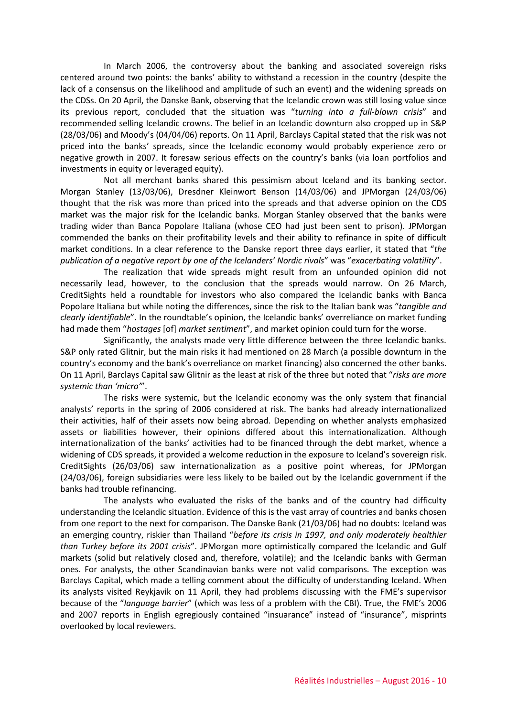In March 2006, the controversy about the banking and associated sovereign risks centered around two points: the banks' ability to withstand a recession in the country (despite the lack of a consensus on the likelihood and amplitude of such an event) and the widening spreads on the CDSs. On 20 April, the Danske Bank, observing that the Icelandic crown was still losing value since its previous report, concluded that the situation was "*turning into a full-blown crisis*" and recommended selling Icelandic crowns. The belief in an Icelandic downturn also cropped up in S&P (28/03/06) and Moody's (04/04/06) reports. On 11 April, Barclays Capital stated that the risk was not priced into the banks' spreads, since the Icelandic economy would probably experience zero or negative growth in 2007. It foresaw serious effects on the country's banks (via loan portfolios and investments in equity or leveraged equity).

Not all merchant banks shared this pessimism about Iceland and its banking sector. Morgan Stanley (13/03/06), Dresdner Kleinwort Benson (14/03/06) and JPMorgan (24/03/06) thought that the risk was more than priced into the spreads and that adverse opinion on the CDS market was the major risk for the Icelandic banks. Morgan Stanley observed that the banks were trading wider than Banca Popolare Italiana (whose CEO had just been sent to prison). JPMorgan commended the banks on their profitability levels and their ability to refinance in spite of difficult market conditions. In a clear reference to the Danske report three days earlier, it stated that "*the publication of a negative report by one of the Icelanders' Nordic rivals*" was "*exacerbating volatility*".

The realization that wide spreads might result from an unfounded opinion did not necessarily lead, however, to the conclusion that the spreads would narrow. On 26 March, CreditSights held a roundtable for investors who also compared the Icelandic banks with Banca Popolare Italiana but while noting the differences, since the risk to the Italian bank was "*tangible and clearly identifiable*". In the roundtable's opinion, the Icelandic banks' overreliance on market funding had made them "*hostages* [of] *market sentiment*", and market opinion could turn for the worse.

Significantly, the analysts made very little difference between the three Icelandic banks. S&P only rated Glitnir, but the main risks it had mentioned on 28 March (a possible downturn in the country's economy and the bank's overreliance on market financing) also concerned the other banks. On 11 April, Barclays Capital saw Glitnir as the least at risk of the three but noted that "*risks are more systemic than 'micro'*".

The risks were systemic, but the Icelandic economy was the only system that financial analysts' reports in the spring of 2006 considered at risk. The banks had already internationalized their activities, half of their assets now being abroad. Depending on whether analysts emphasized assets or liabilities however, their opinions differed about this internationalization. Although internationalization of the banks' activities had to be financed through the debt market, whence a widening of CDS spreads, it provided a welcome reduction in the exposure to Iceland's sovereign risk. CreditSights (26/03/06) saw internationalization as a positive point whereas, for JPMorgan (24/03/06), foreign subsidiaries were less likely to be bailed out by the Icelandic government if the banks had trouble refinancing.

The analysts who evaluated the risks of the banks and of the country had difficulty understanding the Icelandic situation. Evidence of this is the vast array of countries and banks chosen from one report to the next for comparison. The Danske Bank (21/03/06) had no doubts: Iceland was an emerging country, riskier than Thailand "*before its crisis in 1997, and only moderately healthier than Turkey before its 2001 crisis*". JPMorgan more optimistically compared the Icelandic and Gulf markets (solid but relatively closed and, therefore, volatile); and the Icelandic banks with German ones. For analysts, the other Scandinavian banks were not valid comparisons. The exception was Barclays Capital, which made a telling comment about the difficulty of understanding Iceland. When its analysts visited Reykjavik on 11 April, they had problems discussing with the FME's supervisor because of the "*language barrier*" (which was less of a problem with the CBI). True, the FME's 2006 and 2007 reports in English egregiously contained "insuarance" instead of "insurance", misprints overlooked by local reviewers.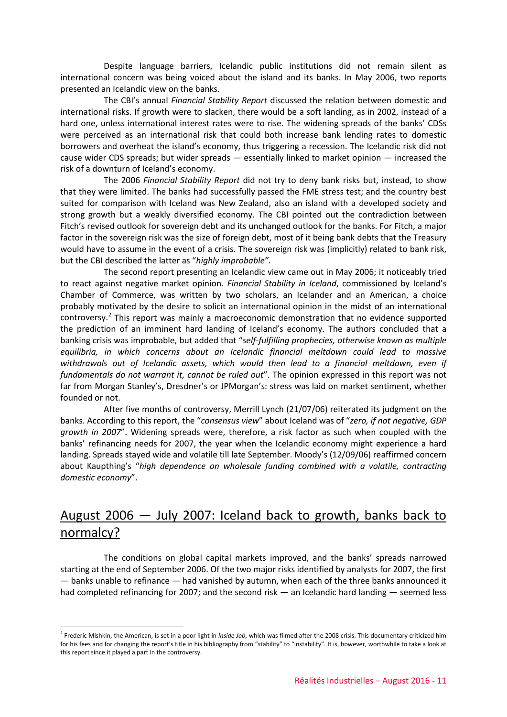Despite language barriers, Icelandic public institutions did not remain silent as international concern was being voiced about the island and its banks. In May 2006, two reports presented an Icelandic view on the banks.

The CBI's annual *Financial Stability Report* discussed the relation between domestic and international risks. If growth were to slacken, there would be a soft landing, as in 2002, instead of a hard one, unless international interest rates were to rise. The widening spreads of the banks' CDSs were perceived as an international risk that could both increase bank lending rates to domestic borrowers and overheat the island's economy, thus triggering a recession. The Icelandic risk did not cause wider CDS spreads; but wider spreads — essentially linked to market opinion — increased the risk of a downturn of Iceland's economy.

The 2006 *Financial Stability Report* did not try to deny bank risks but, instead, to show that they were limited. The banks had successfully passed the FME stress test; and the country best suited for comparison with Iceland was New Zealand, also an island with a developed society and strong growth but a weakly diversified economy. The CBI pointed out the contradiction between Fitch's revised outlook for sovereign debt and its unchanged outlook for the banks. For Fitch, a major factor in the sovereign risk was the size of foreign debt, most of it being bank debts that the Treasury would have to assume in the event of a crisis. The sovereign risk was (implicitly) related to bank risk, but the CBI described the latter as "*highly improbable".*

The second report presenting an Icelandic view came out in May 2006; it noticeably tried to react against negative market opinion. *Financial Stability in Iceland*, commissioned by Iceland's Chamber of Commerce, was written by two scholars, an Icelander and an American, a choice probably motivated by the desire to solicit an international opinion in the midst of an international controversy.[2](#page-10-0) This report was mainly a macroeconomic demonstration that no evidence supported the prediction of an imminent hard landing of Iceland's economy. The authors concluded that a banking crisis was improbable, but added that "*self-fulfilling prophecies, otherwise known as multiple equilibria, in which concerns about an Icelandic financial meltdown could lead to massive withdrawals out of Icelandic assets, which would then lead to a financial meltdown, even if fundamentals do not warrant it, cannot be ruled out*". The opinion expressed in this report was not far from Morgan Stanley's, Dresdner's or JPMorgan's: stress was laid on market sentiment, whether founded or not.

After five months of controversy, Merrill Lynch (21/07/06) reiterated its judgment on the banks. According to this report, the "*consensus view*" about Iceland was of "*zero, if not negative, GDP growth in 2007*". Widening spreads were, therefore, a risk factor as such when coupled with the banks' refinancing needs for 2007, the year when the Icelandic economy might experience a hard landing. Spreads stayed wide and volatile till late September. Moody's (12/09/06) reaffirmed concern about Kaupthing's "*high dependence on wholesale funding combined with a volatile, contracting domestic economy*".

# August 2006 — July 2007: Iceland back to growth, banks back to normalcy?

The conditions on global capital markets improved, and the banks' spreads narrowed starting at the end of September 2006. Of the two major risks identified by analysts for 2007, the first — banks unable to refinance — had vanished by autumn, when each of the three banks announced it had completed refinancing for 2007; and the second risk — an Icelandic hard landing — seemed less

-

<span id="page-10-0"></span><sup>&</sup>lt;sup>2</sup> Frederic Mishkin, the American, is set in a poor light in *Inside Job*, which was filmed after the 2008 crisis. This documentary criticized him for his fees and for changing the report's title in his bibliography from "stability" to "instability". It is, however, worthwhile to take a look at this report since it played a part in the controversy.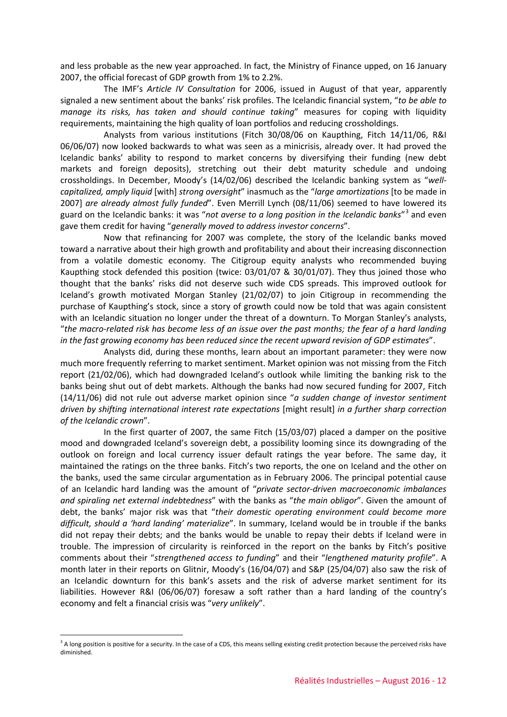and less probable as the new year approached. In fact, the Ministry of Finance upped, on 16 January 2007, the official forecast of GDP growth from 1% to 2.2%.

The IMF's *Article IV Consultation* for 2006, issued in August of that year, apparently signaled a new sentiment about the banks' risk profiles. The Icelandic financial system, "*to be able to manage its risks, has taken and should continue taking*" measures for coping with liquidity requirements, maintaining the high quality of loan portfolios and reducing crossholdings.

Analysts from various institutions (Fitch 30/08/06 on Kaupthing, Fitch 14/11/06, R&I 06/06/07) now looked backwards to what was seen as a minicrisis, already over. It had proved the Icelandic banks' ability to respond to market concerns by diversifying their funding (new debt markets and foreign deposits), stretching out their debt maturity schedule and undoing crossholdings. In December, Moody's (14/02/06) described the Icelandic banking system as "*wellcapitalized, amply liquid* [with] *strong oversight*" inasmuch as the "*large amortizations* [to be made in 2007] *are already almost fully funded*". Even Merrill Lynch (08/11/06) seemed to have lowered its guard on the Icelandic banks: it was "*not averse to a long position in the Icelandic banks*"[3](#page-11-0) and even gave them credit for having "*generally moved to address investor concerns*".

Now that refinancing for 2007 was complete, the story of the Icelandic banks moved toward a narrative about their high growth and profitability and about their increasing disconnection from a volatile domestic economy. The Citigroup equity analysts who recommended buying Kaupthing stock defended this position (twice: 03/01/07 & 30/01/07). They thus joined those who thought that the banks' risks did not deserve such wide CDS spreads. This improved outlook for Iceland's growth motivated Morgan Stanley (21/02/07) to join Citigroup in recommending the purchase of Kaupthing's stock, since a story of growth could now be told that was again consistent with an Icelandic situation no longer under the threat of a downturn. To Morgan Stanley's analysts, "*the macro-related risk has become less of an issue over the past months; the fear of a hard landing in the fast growing economy has been reduced since the recent upward revision of GDP estimates*".

Analysts did, during these months, learn about an important parameter: they were now much more frequently referring to market sentiment. Market opinion was not missing from the Fitch report (21/02/06), which had downgraded Iceland's outlook while limiting the banking risk to the banks being shut out of debt markets. Although the banks had now secured funding for 2007, Fitch (14/11/06) did not rule out adverse market opinion since "*a sudden change of investor sentiment driven by shifting international interest rate expectations* [might result] *in a further sharp correction of the Icelandic crown*".

In the first quarter of 2007, the same Fitch (15/03/07) placed a damper on the positive mood and downgraded Iceland's sovereign debt, a possibility looming since its downgrading of the outlook on foreign and local currency issuer default ratings the year before. The same day, it maintained the ratings on the three banks. Fitch's two reports, the one on Iceland and the other on the banks, used the same circular argumentation as in February 2006. The principal potential cause of an Icelandic hard landing was the amount of "*private sector-driven macroeconomic imbalances and spiraling net external indebtedness*" with the banks as "*the main obligor*". Given the amount of debt, the banks' major risk was that "*their domestic operating environment could become more difficult, should a 'hard landing' materialize*". In summary, Iceland would be in trouble if the banks did not repay their debts; and the banks would be unable to repay their debts if Iceland were in trouble. The impression of circularity is reinforced in the report on the banks by Fitch's positive comments about their "*strengthened access to funding*" and their "*lengthened maturity profile*". A month later in their reports on Glitnir, Moody's (16/04/07) and S&P (25/04/07) also saw the risk of an Icelandic downturn for this bank's assets and the risk of adverse market sentiment for its liabilities. However R&I (06/06/07) foresaw a soft rather than a hard landing of the country's economy and felt a financial crisis was "*very unlikely*".

<u>.</u>

<span id="page-11-0"></span><sup>&</sup>lt;sup>3</sup> A long position is positive for a security. In the case of a CDS, this means selling existing credit protection because the perceived risks have diminished.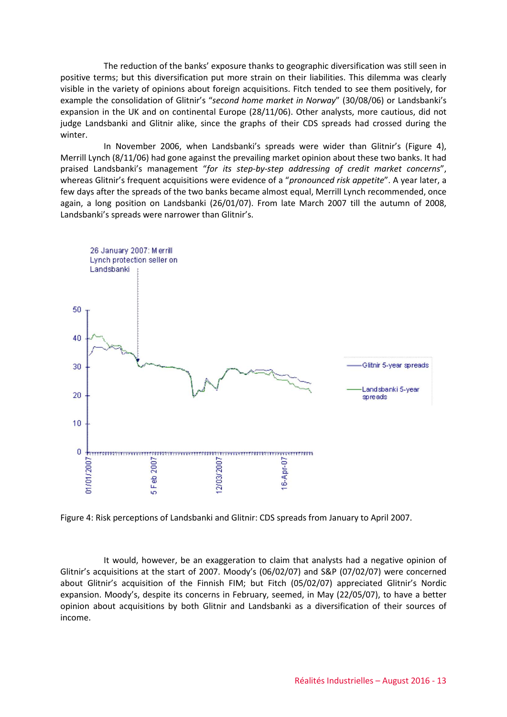The reduction of the banks' exposure thanks to geographic diversification was still seen in positive terms; but this diversification put more strain on their liabilities. This dilemma was clearly visible in the variety of opinions about foreign acquisitions. Fitch tended to see them positively, for example the consolidation of Glitnir's "*second home market in Norway*" (30/08/06) or Landsbanki's expansion in the UK and on continental Europe (28/11/06). Other analysts, more cautious, did not judge Landsbanki and Glitnir alike, since the graphs of their CDS spreads had crossed during the winter.

In November 2006, when Landsbanki's spreads were wider than Glitnir's (Figure 4), Merrill Lynch (8/11/06) had gone against the prevailing market opinion about these two banks. It had praised Landsbanki's management "*for its step-by-step addressing of credit market concerns*", whereas Glitnir's frequent acquisitions were evidence of a "*pronounced risk appetite*". A year later, a few days after the spreads of the two banks became almost equal, Merrill Lynch recommended, once again, a long position on Landsbanki (26/01/07). From late March 2007 till the autumn of 2008, Landsbanki's spreads were narrower than Glitnir's.



Figure 4: Risk perceptions of Landsbanki and Glitnir: CDS spreads from January to April 2007.

It would, however, be an exaggeration to claim that analysts had a negative opinion of Glitnir's acquisitions at the start of 2007. Moody's (06/02/07) and S&P (07/02/07) were concerned about Glitnir's acquisition of the Finnish FIM; but Fitch (05/02/07) appreciated Glitnir's Nordic expansion. Moody's, despite its concerns in February, seemed, in May (22/05/07), to have a better opinion about acquisitions by both Glitnir and Landsbanki as a diversification of their sources of income.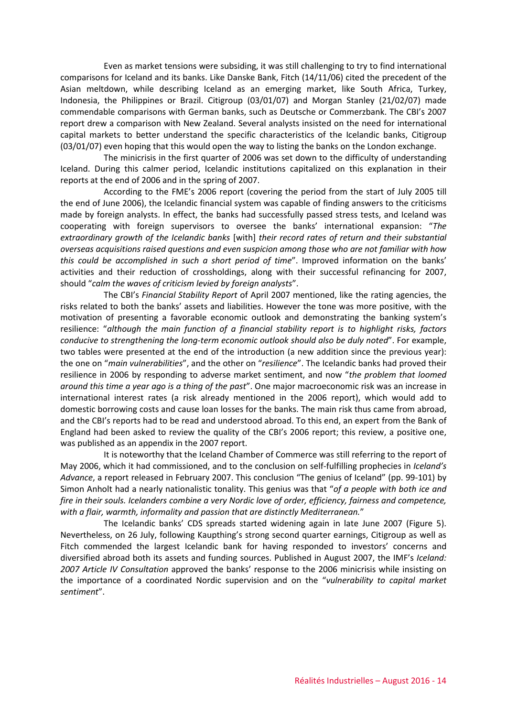Even as market tensions were subsiding, it was still challenging to try to find international comparisons for Iceland and its banks. Like Danske Bank, Fitch (14/11/06) cited the precedent of the Asian meltdown, while describing Iceland as an emerging market, like South Africa, Turkey, Indonesia, the Philippines or Brazil. Citigroup (03/01/07) and Morgan Stanley (21/02/07) made commendable comparisons with German banks, such as Deutsche or Commerzbank. The CBI's 2007 report drew a comparison with New Zealand. Several analysts insisted on the need for international capital markets to better understand the specific characteristics of the Icelandic banks, Citigroup (03/01/07) even hoping that this would open the way to listing the banks on the London exchange.

The minicrisis in the first quarter of 2006 was set down to the difficulty of understanding Iceland. During this calmer period, Icelandic institutions capitalized on this explanation in their reports at the end of 2006 and in the spring of 2007.

According to the FME's 2006 report (covering the period from the start of July 2005 till the end of June 2006), the Icelandic financial system was capable of finding answers to the criticisms made by foreign analysts. In effect, the banks had successfully passed stress tests, and Iceland was cooperating with foreign supervisors to oversee the banks' international expansion: "*The extraordinary growth of the Icelandic banks* [with] *their record rates of return and their substantial overseas acquisitions raised questions and even suspicion among those who are not familiar with how this could be accomplished in such a short period of time*". Improved information on the banks' activities and their reduction of crossholdings, along with their successful refinancing for 2007, should "*calm the waves of criticism levied by foreign analysts*".

The CBI's *Financial Stability Report* of April 2007 mentioned, like the rating agencies, the risks related to both the banks' assets and liabilities. However the tone was more positive, with the motivation of presenting a favorable economic outlook and demonstrating the banking system's resilience: "*although the main function of a financial stability report is to highlight risks, factors conducive to strengthening the long-term economic outlook should also be duly noted*". For example, two tables were presented at the end of the introduction (a new addition since the previous year): the one on "*main vulnerabilities*", and the other on "*resilience*". The Icelandic banks had proved their resilience in 2006 by responding to adverse market sentiment, and now "*the problem that loomed around this time a year ago is a thing of the past*". One major macroeconomic risk was an increase in international interest rates (a risk already mentioned in the 2006 report), which would add to domestic borrowing costs and cause loan losses for the banks. The main risk thus came from abroad, and the CBI's reports had to be read and understood abroad. To this end, an expert from the Bank of England had been asked to review the quality of the CBI's 2006 report; this review, a positive one, was published as an appendix in the 2007 report.

It is noteworthy that the Iceland Chamber of Commerce was still referring to the report of May 2006, which it had commissioned, and to the conclusion on self-fulfilling prophecies in *Iceland's Advance*, a report released in February 2007. This conclusion "The genius of Iceland" (pp. 99-101) by Simon Anholt had a nearly nationalistic tonality. This genius was that "*of a people with both ice and fire in their souls. Icelanders combine a very Nordic love of order, efficiency, fairness and competence, with a flair, warmth, informality and passion that are distinctly Mediterranean.*"

The Icelandic banks' CDS spreads started widening again in late June 2007 (Figure 5). Nevertheless, on 26 July, following Kaupthing's strong second quarter earnings, Citigroup as well as Fitch commended the largest Icelandic bank for having responded to investors' concerns and diversified abroad both its assets and funding sources. Published in August 2007, the IMF's *Iceland: 2007 Article IV Consultation* approved the banks' response to the 2006 minicrisis while insisting on the importance of a coordinated Nordic supervision and on the "*vulnerability to capital market sentiment*".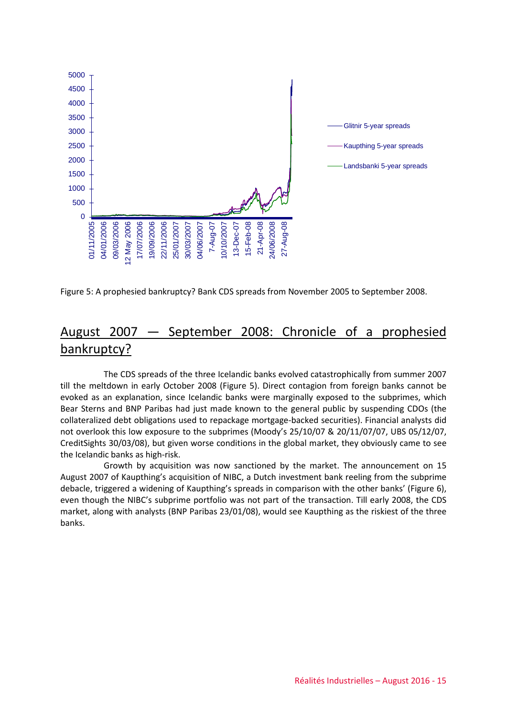

Figure 5: A prophesied bankruptcy? Bank CDS spreads from November 2005 to September 2008.

## August 2007 — September 2008: Chronicle of a prophesied bankruptcy?

The CDS spreads of the three Icelandic banks evolved catastrophically from summer 2007 till the meltdown in early October 2008 (Figure 5). Direct contagion from foreign banks cannot be evoked as an explanation, since Icelandic banks were marginally exposed to the subprimes, which Bear Sterns and BNP Paribas had just made known to the general public by suspending CDOs (the collateralized debt obligations used to repackage mortgage-backed securities). Financial analysts did not overlook this low exposure to the subprimes (Moody's 25/10/07 & 20/11/07/07, UBS 05/12/07, CreditSights 30/03/08), but given worse conditions in the global market, they obviously came to see the Icelandic banks as high-risk.

Growth by acquisition was now sanctioned by the market. The announcement on 15 August 2007 of Kaupthing's acquisition of NIBC, a Dutch investment bank reeling from the subprime debacle, triggered a widening of Kaupthing's spreads in comparison with the other banks' (Figure 6), even though the NIBC's subprime portfolio was not part of the transaction. Till early 2008, the CDS market, along with analysts (BNP Paribas 23/01/08), would see Kaupthing as the riskiest of the three banks.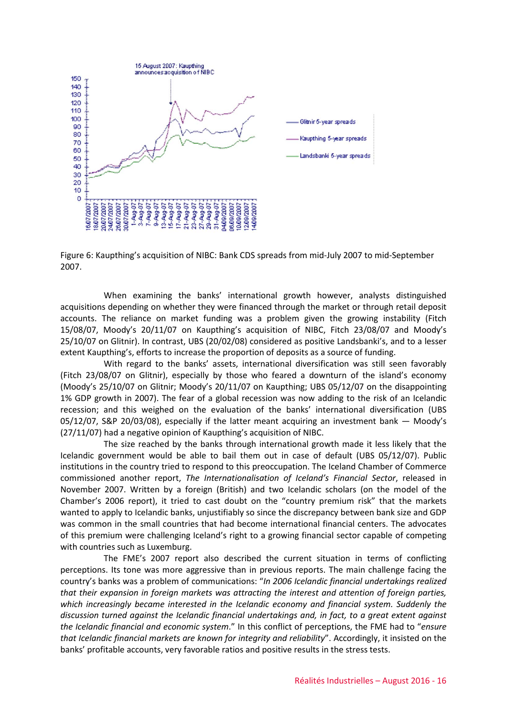

Figure 6: Kaupthing's acquisition of NIBC: Bank CDS spreads from mid-July 2007 to mid-September 2007.

When examining the banks' international growth however, analysts distinguished acquisitions depending on whether they were financed through the market or through retail deposit accounts. The reliance on market funding was a problem given the growing instability (Fitch 15/08/07, Moody's 20/11/07 on Kaupthing's acquisition of NIBC, Fitch 23/08/07 and Moody's 25/10/07 on Glitnir). In contrast, UBS (20/02/08) considered as positive Landsbanki's, and to a lesser extent Kaupthing's, efforts to increase the proportion of deposits as a source of funding.

With regard to the banks' assets, international diversification was still seen favorably (Fitch 23/08/07 on Glitnir), especially by those who feared a downturn of the island's economy (Moody's 25/10/07 on Glitnir; Moody's 20/11/07 on Kaupthing; UBS 05/12/07 on the disappointing 1% GDP growth in 2007). The fear of a global recession was now adding to the risk of an Icelandic recession; and this weighed on the evaluation of the banks' international diversification (UBS 05/12/07, S&P 20/03/08), especially if the latter meant acquiring an investment bank — Moody's (27/11/07) had a negative opinion of Kaupthing's acquisition of NIBC.

The size reached by the banks through international growth made it less likely that the Icelandic government would be able to bail them out in case of default (UBS 05/12/07). Public institutions in the country tried to respond to this preoccupation. The Iceland Chamber of Commerce commissioned another report, *The Internationalisation of Iceland's Financial Sector*, released in November 2007. Written by a foreign (British) and two Icelandic scholars (on the model of the Chamber's 2006 report), it tried to cast doubt on the "country premium risk" that the markets wanted to apply to Icelandic banks, unjustifiably so since the discrepancy between bank size and GDP was common in the small countries that had become international financial centers. The advocates of this premium were challenging Iceland's right to a growing financial sector capable of competing with countries such as Luxemburg.

The FME's 2007 report also described the current situation in terms of conflicting perceptions. Its tone was more aggressive than in previous reports. The main challenge facing the country's banks was a problem of communications: "*In 2006 Icelandic financial undertakings realized that their expansion in foreign markets was attracting the interest and attention of foreign parties, which increasingly became interested in the Icelandic economy and financial system. Suddenly the discussion turned against the Icelandic financial undertakings and, in fact, to a great extent against the Icelandic financial and economic system*." In this conflict of perceptions, the FME had to "*ensure that Icelandic financial markets are known for integrity and reliability*". Accordingly, it insisted on the banks' profitable accounts, very favorable ratios and positive results in the stress tests.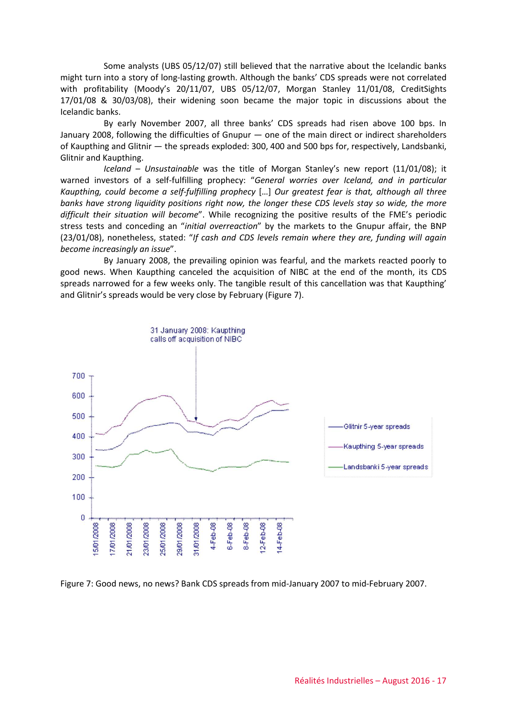Some analysts (UBS 05/12/07) still believed that the narrative about the Icelandic banks might turn into a story of long-lasting growth. Although the banks' CDS spreads were not correlated with profitability (Moody's 20/11/07, UBS 05/12/07, Morgan Stanley 11/01/08, CreditSights 17/01/08 & 30/03/08), their widening soon became the major topic in discussions about the Icelandic banks.

By early November 2007, all three banks' CDS spreads had risen above 100 bps. In January 2008, following the difficulties of Gnupur — one of the main direct or indirect shareholders of Kaupthing and Glitnir — the spreads exploded: 300, 400 and 500 bps for, respectively, Landsbanki, Glitnir and Kaupthing.

*Iceland – Unsustainable* was the title of Morgan Stanley's new report (11/01/08); it warned investors of a self-fulfilling prophecy: "*General worries over Iceland, and in particular Kaupthing, could become a self-fulfilling prophecy* […] *Our greatest fear is that, although all three banks have strong liquidity positions right now, the longer these CDS levels stay so wide, the more difficult their situation will become*". While recognizing the positive results of the FME's periodic stress tests and conceding an "*initial overreaction*" by the markets to the Gnupur affair, the BNP (23/01/08), nonetheless, stated: "*If cash and CDS levels remain where they are, funding will again become increasingly an issue*".

By January 2008, the prevailing opinion was fearful, and the markets reacted poorly to good news. When Kaupthing canceled the acquisition of NIBC at the end of the month, its CDS spreads narrowed for a few weeks only. The tangible result of this cancellation was that Kaupthing' and Glitnir's spreads would be very close by February (Figure 7).



Figure 7: Good news, no news? Bank CDS spreads from mid-January 2007 to mid-February 2007.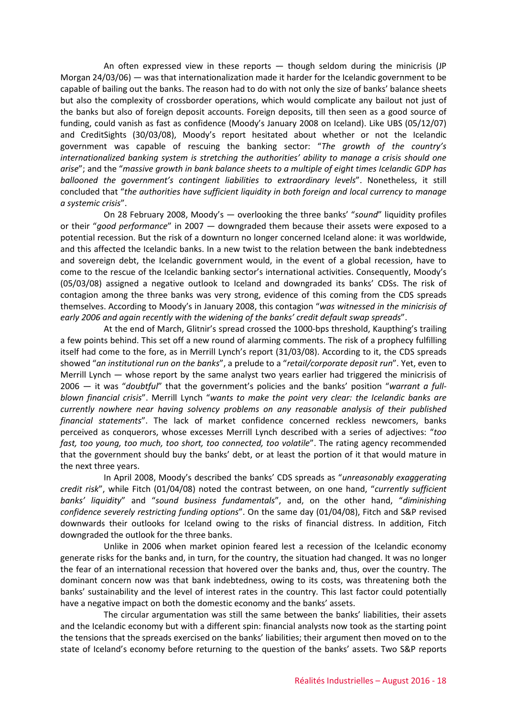An often expressed view in these reports — though seldom during the minicrisis (JP Morgan 24/03/06) — was that internationalization made it harder for the Icelandic government to be capable of bailing out the banks. The reason had to do with not only the size of banks' balance sheets but also the complexity of crossborder operations, which would complicate any bailout not just of the banks but also of foreign deposit accounts. Foreign deposits, till then seen as a good source of funding, could vanish as fast as confidence (Moody's January 2008 on Iceland). Like UBS (05/12/07) and CreditSights (30/03/08), Moody's report hesitated about whether or not the Icelandic government was capable of rescuing the banking sector: "*The growth of the country's internationalized banking system is stretching the authorities' ability to manage a crisis should one arise*"; and the "*massive growth in bank balance sheets to a multiple of eight times Icelandic GDP has ballooned the government's contingent liabilities to extraordinary levels*". Nonetheless, it still concluded that "*the authorities have sufficient liquidity in both foreign and local currency to manage a systemic crisis*".

On 28 February 2008, Moody's — overlooking the three banks' "*sound*" liquidity profiles or their "*good performance*" in 2007 — downgraded them because their assets were exposed to a potential recession. But the risk of a downturn no longer concerned Iceland alone: it was worldwide, and this affected the Icelandic banks. In a new twist to the relation between the bank indebtedness and sovereign debt, the Icelandic government would, in the event of a global recession, have to come to the rescue of the Icelandic banking sector's international activities. Consequently, Moody's (05/03/08) assigned a negative outlook to Iceland and downgraded its banks' CDSs. The risk of contagion among the three banks was very strong, evidence of this coming from the CDS spreads themselves. According to Moody's in January 2008, this contagion "*was witnessed in the minicrisis of early 2006 and again recently with the widening of the banks' credit default swap spreads*".

At the end of March, Glitnir's spread crossed the 1000-bps threshold, Kaupthing's trailing a few points behind. This set off a new round of alarming comments. The risk of a prophecy fulfilling itself had come to the fore, as in Merrill Lynch's report (31/03/08). According to it, the CDS spreads showed "*an institutional run on the banks*", a prelude to a "*retail/corporate deposit run*". Yet, even to Merrill Lynch — whose report by the same analyst two years earlier had triggered the minicrisis of 2006 — it was "*doubtful*" that the government's policies and the banks' position "*warrant a fullblown financial crisis*". Merrill Lynch "*wants to make the point very clear: the Icelandic banks are currently nowhere near having solvency problems on any reasonable analysis of their published financial statements*". The lack of market confidence concerned reckless newcomers, banks perceived as conquerors, whose excesses Merrill Lynch described with a series of adjectives: "*too fast, too young, too much, too short, too connected, too volatile*". The rating agency recommended that the government should buy the banks' debt, or at least the portion of it that would mature in the next three years.

In April 2008, Moody's described the banks' CDS spreads as "*unreasonably exaggerating credit risk*", while Fitch (01/04/08) noted the contrast between, on one hand, "*currently sufficient banks' liquidity*" and "*sound business fundamentals*", and, on the other hand, "*diminishing confidence severely restricting funding options*". On the same day (01/04/08), Fitch and S&P revised downwards their outlooks for Iceland owing to the risks of financial distress. In addition, Fitch downgraded the outlook for the three banks.

Unlike in 2006 when market opinion feared lest a recession of the Icelandic economy generate risks for the banks and, in turn, for the country, the situation had changed. It was no longer the fear of an international recession that hovered over the banks and, thus, over the country. The dominant concern now was that bank indebtedness, owing to its costs, was threatening both the banks' sustainability and the level of interest rates in the country. This last factor could potentially have a negative impact on both the domestic economy and the banks' assets.

The circular argumentation was still the same between the banks' liabilities, their assets and the Icelandic economy but with a different spin: financial analysts now took as the starting point the tensions that the spreads exercised on the banks' liabilities; their argument then moved on to the state of Iceland's economy before returning to the question of the banks' assets. Two S&P reports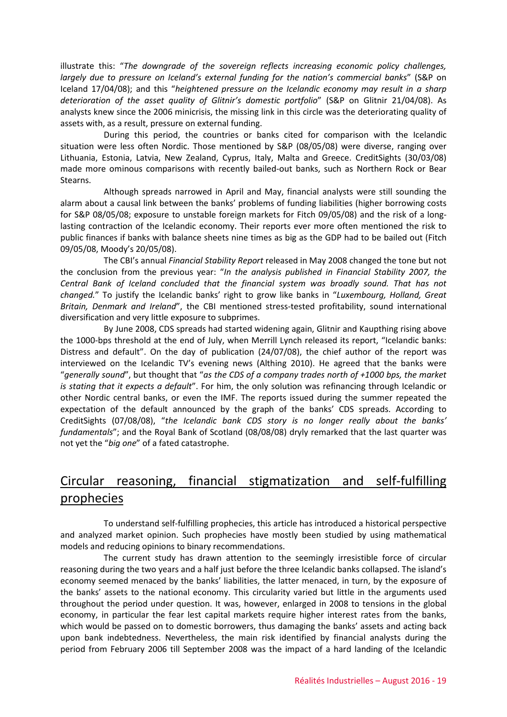illustrate this: "*The downgrade of the sovereign reflects increasing economic policy challenges, largely due to pressure on Iceland's external funding for the nation's commercial banks*" (S&P on Iceland 17/04/08); and this "*heightened pressure on the Icelandic economy may result in a sharp deterioration of the asset quality of Glitnir's domestic portfolio*" (S&P on Glitnir 21/04/08). As analysts knew since the 2006 minicrisis, the missing link in this circle was the deteriorating quality of assets with, as a result, pressure on external funding.

During this period, the countries or banks cited for comparison with the Icelandic situation were less often Nordic. Those mentioned by S&P (08/05/08) were diverse, ranging over Lithuania, Estonia, Latvia, New Zealand, Cyprus, Italy, Malta and Greece. CreditSights (30/03/08) made more ominous comparisons with recently bailed-out banks, such as Northern Rock or Bear Stearns.

Although spreads narrowed in April and May, financial analysts were still sounding the alarm about a causal link between the banks' problems of funding liabilities (higher borrowing costs for S&P 08/05/08; exposure to unstable foreign markets for Fitch 09/05/08) and the risk of a longlasting contraction of the Icelandic economy. Their reports ever more often mentioned the risk to public finances if banks with balance sheets nine times as big as the GDP had to be bailed out (Fitch 09/05/08, Moody's 20/05/08).

The CBI's annual *Financial Stability Report* released in May 2008 changed the tone but not the conclusion from the previous year: "*In the analysis published in Financial Stability 2007, the Central Bank of Iceland concluded that the financial system was broadly sound. That has not changed.*" To justify the Icelandic banks' right to grow like banks in "*Luxembourg, Holland, Great Britain, Denmark and Ireland*", the CBI mentioned stress-tested profitability, sound international diversification and very little exposure to subprimes.

By June 2008, CDS spreads had started widening again, Glitnir and Kaupthing rising above the 1000-bps threshold at the end of July, when Merrill Lynch released its report, "Icelandic banks: Distress and default". On the day of publication (24/07/08), the chief author of the report was interviewed on the Icelandic TV's evening news (Althing 2010). He agreed that the banks were "*generally sound*", but thought that "*as the CDS of a company trades north of +1000 bps, the market is stating that it expects a default*". For him, the only solution was refinancing through Icelandic or other Nordic central banks, or even the IMF. The reports issued during the summer repeated the expectation of the default announced by the graph of the banks' CDS spreads. According to CreditSights (07/08/08), "*the Icelandic bank CDS story is no longer really about the banks' fundamentals*"; and the Royal Bank of Scotland (08/08/08) dryly remarked that the last quarter was not yet the "*big one*" of a fated catastrophe.

# Circular reasoning, financial stigmatization and self-fulfilling prophecies

To understand self-fulfilling prophecies, this article has introduced a historical perspective and analyzed market opinion. Such prophecies have mostly been studied by using mathematical models and reducing opinions to binary recommendations.

The current study has drawn attention to the seemingly irresistible force of circular reasoning during the two years and a half just before the three Icelandic banks collapsed. The island's economy seemed menaced by the banks' liabilities, the latter menaced, in turn, by the exposure of the banks' assets to the national economy. This circularity varied but little in the arguments used throughout the period under question. It was, however, enlarged in 2008 to tensions in the global economy, in particular the fear lest capital markets require higher interest rates from the banks, which would be passed on to domestic borrowers, thus damaging the banks' assets and acting back upon bank indebtedness. Nevertheless, the main risk identified by financial analysts during the period from February 2006 till September 2008 was the impact of a hard landing of the Icelandic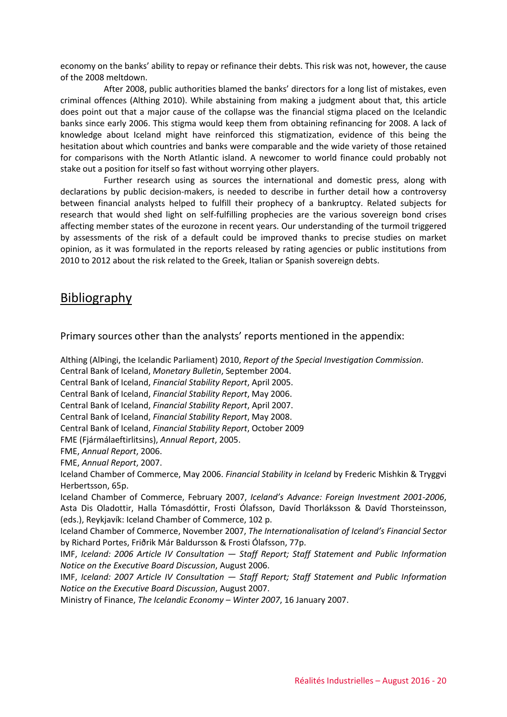economy on the banks' ability to repay or refinance their debts. This risk was not, however, the cause of the 2008 meltdown.

After 2008, public authorities blamed the banks' directors for a long list of mistakes, even criminal offences (Althing 2010). While abstaining from making a judgment about that, this article does point out that a major cause of the collapse was the financial stigma placed on the Icelandic banks since early 2006. This stigma would keep them from obtaining refinancing for 2008. A lack of knowledge about Iceland might have reinforced this stigmatization, evidence of this being the hesitation about which countries and banks were comparable and the wide variety of those retained for comparisons with the North Atlantic island. A newcomer to world finance could probably not stake out a position for itself so fast without worrying other players.

Further research using as sources the international and domestic press, along with declarations by public decision-makers, is needed to describe in further detail how a controversy between financial analysts helped to fulfill their prophecy of a bankruptcy. Related subjects for research that would shed light on self-fulfilling prophecies are the various sovereign bond crises affecting member states of the eurozone in recent years. Our understanding of the turmoil triggered by assessments of the risk of a default could be improved thanks to precise studies on market opinion, as it was formulated in the reports released by rating agencies or public institutions from 2010 to 2012 about the risk related to the Greek, Italian or Spanish sovereign debts.

### Bibliography

Primary sources other than the analysts' reports mentioned in the appendix:

Althing (AlÞingi, the Icelandic Parliament) 2010, *Report of the Special Investigation Commission*. Central Bank of Iceland, *Monetary Bulletin*, September 2004. Central Bank of Iceland, *Financial Stability Report*, April 2005. Central Bank of Iceland, *Financial Stability Report*, May 2006. Central Bank of Iceland, *Financial Stability Report*, April 2007. Central Bank of Iceland, *Financial Stability Report*, May 2008. Central Bank of Iceland, *Financial Stability Report*, October 2009 FME (Fjármálaeftirlitsins), *Annual Report*, 2005. FME, *Annual Report*, 2006. FME, *Annual Report*, 2007. Iceland Chamber of Commerce, May 2006. *Financial Stability in Iceland* by Frederic Mishkin & Tryggvi Herbertsson, 65p. Iceland Chamber of Commerce, February 2007, *Iceland's Advance: Foreign Investment 2001-2006*, Asta Dis Oladottir, Halla Tómasdóttir, Frosti Ólafsson, Davíd Thorláksson & Davíd Thorsteinsson, (eds.), Reykjavík: Iceland Chamber of Commerce, 102 p. Iceland Chamber of Commerce, November 2007, *The Internationalisation of Iceland's Financial Sector* by Richard Portes, Friðrik Már Baldursson & Frosti Ólafsson, 77p. IMF, *Iceland: 2006 Article IV Consultation — Staff Report; Staff Statement and Public Information Notice on the Executive Board Discussion*, August 2006. IMF, *Iceland: 2007 Article IV Consultation — Staff Report; Staff Statement and Public Information Notice on the Executive Board Discussion*, August 2007. Ministry of Finance, *The Icelandic Economy – Winter 2007*, 16 January 2007.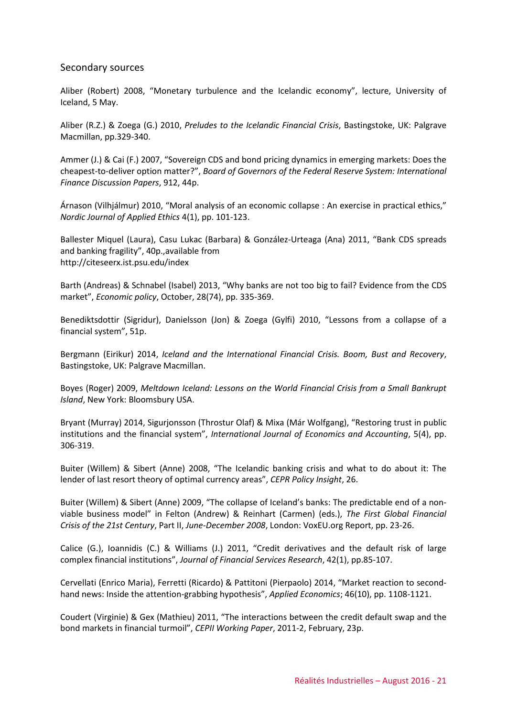#### Secondary sources

Aliber (Robert) 2008, "Monetary turbulence and the Icelandic economy", lecture, University of Iceland, 5 May.

Aliber (R.Z.) & Zoega (G.) 2010, *Preludes to the Icelandic Financial Crisis*, Bastingstoke, UK: Palgrave Macmillan, pp.329-340.

Ammer (J.) & Cai (F.) 2007, "Sovereign CDS and bond pricing dynamics in emerging markets: Does the cheapest-to-deliver option matter?", *Board of Governors of the Federal Reserve System: International Finance Discussion Papers*, 912, 44p.

Árnason (Vilhjálmur) 2010, "Moral analysis of an economic collapse : An exercise in practical ethics," *Nordic Journal of Applied Ethics* 4(1), pp. 101-123.

Ballester Miquel (Laura), Casu Lukac (Barbara) & González-Urteaga (Ana) 2011, "Bank CDS spreads and banking fragility", 40p.,available from http://citeseerx.ist.psu.edu/index

Barth (Andreas) & Schnabel (Isabel) 2013, "Why banks are not too big to fail? Evidence from the CDS market", *Economic policy*, October, 28(74), pp. 335-369.

Benediktsdottir (Sigridur), Danielsson (Jon) & Zoega (Gylfi) 2010, "Lessons from a collapse of a financial system", 51p.

Bergmann (Eirikur) 2014, *Iceland and the International Financial Crisis. Boom, Bust and Recovery*, Bastingstoke, UK: Palgrave Macmillan.

Boyes (Roger) 2009, *Meltdown Iceland: Lessons on the World Financial Crisis from a Small Bankrupt Island*, New York: Bloomsbury USA.

Bryant (Murray) 2014, Sigurjonsson (Throstur Olaf) & Mixa (Már Wolfgang), "Restoring trust in public institutions and the financial system", *International Journal of Economics and Accounting*, 5(4), pp. 306-319.

Buiter (Willem) & Sibert (Anne) 2008, "The Icelandic banking crisis and what to do about it: The lender of last resort theory of optimal currency areas", *CEPR Policy Insight*, 26.

Buiter (Willem) & Sibert (Anne) 2009, "The collapse of Iceland's banks: The predictable end of a nonviable business model" in Felton (Andrew) & Reinhart (Carmen) (eds.), *The First Global Financial Crisis of the 21st Century*, Part II, *June-December 2008*, London: VoxEU.org Report, pp. 23-26.

Calice (G.), Ioannidis (C.) & Williams (J.) 2011, "Credit derivatives and the default risk of large complex financial institutions", *Journal of Financial Services Research*, 42(1), pp.85-107.

Cervellati (Enrico Maria), Ferretti (Ricardo) & Pattitoni (Pierpaolo) 2014, "Market reaction to secondhand news: Inside the attention-grabbing hypothesis", *Applied Economics*; 46(10), pp. 1108-1121.

Coudert (Virginie) & Gex (Mathieu) 2011, "The interactions between the credit default swap and the bond markets in financial turmoil", *CEPII Working Paper*, 2011-2, February, 23p.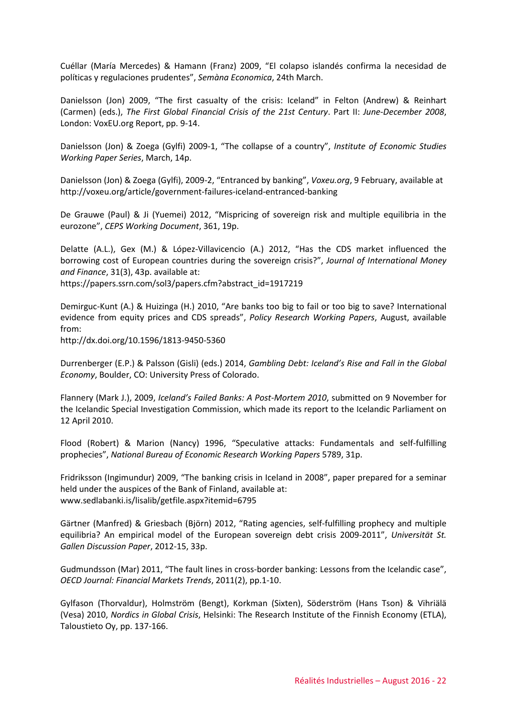Cuéllar (María Mercedes) & Hamann (Franz) 2009, "El colapso islandés confirma la necesidad de políticas y regulaciones prudentes", *Semàna Economica*, 24th March.

Danielsson (Jon) 2009, "The first casualty of the crisis: Iceland" in Felton (Andrew) & Reinhart (Carmen) (eds.), *The First Global Financial Crisis of the 21st Century*. Part II: *June-December 2008*, London: VoxEU.org Report, pp. 9-14.

Danielsson (Jon) & Zoega (Gylfi) 2009-1, "The collapse of a country", *Institute of Economic Studies Working Paper Series*, March, 14p.

Danielsson (Jon) & Zoega (Gylfi), 2009-2, "Entranced by banking", *Voxeu.org*, 9 February, available at http://voxeu.org/article/government-failures-iceland-entranced-banking

De Grauwe (Paul) & Ji (Yuemei) 2012, "Mispricing of sovereign risk and multiple equilibria in the eurozone", *CEPS Working Document*, 361, 19p.

Delatte (A.L.), Gex (M.) & López-Villavicencio (A.) 2012, "Has the CDS market influenced the borrowing cost of European countries during the sovereign crisis?", *Journal of International Money and Finance*, 31(3), 43p. available at: https://papers.ssrn.com/sol3/papers.cfm?abstract\_id=1917219

Demirguc-Kunt (A.) & Huizinga (H.) 2010, "Are banks too big to fail or too big to save? International evidence from equity prices and CDS spreads", *Policy Research Working Papers*, August, available from:

http://dx.doi.org/10.1596/1813-9450-5360

Durrenberger (E.P.) & Palsson (Gisli) (eds.) 2014, *Gambling Debt: Iceland's Rise and Fall in the Global Economy*, Boulder, CO: University Press of Colorado.

Flannery (Mark J.), 2009, *Iceland's Failed Banks: A Post-Mortem 2010*, submitted on 9 November for the Icelandic Special Investigation Commission, which made its report to the Icelandic Parliament on 12 April 2010.

Flood (Robert) & Marion (Nancy) 1996, "Speculative attacks: Fundamentals and self-fulfilling prophecies", *National Bureau of Economic Research Working Papers* 5789, 31p.

Fridriksson (Ingimundur) 2009, "The banking crisis in Iceland in 2008", paper prepared for a seminar held under the auspices of the Bank of Finland, available at: www.sedlabanki.is/lisalib/getfile.aspx?itemid=6795

Gärtner (Manfred) & Griesbach (Björn) 2012, "Rating agencies, self-fulfilling prophecy and multiple equilibria? An empirical model of the European sovereign debt crisis 2009-2011", *Universität St. Gallen Discussion Paper*, 2012-15, 33p.

Gudmundsson (Mar) 2011, "The fault lines in cross-border banking: Lessons from the Icelandic case", *OECD Journal: Financial Markets Trends*, 2011(2), pp.1-10.

Gylfason (Thorvaldur), Holmström (Bengt), Korkman (Sixten), Söderström (Hans Tson) & Vihriälä (Vesa) 2010, *Nordics in Global Crisis*, Helsinki: The Research Institute of the Finnish Economy (ETLA), Taloustieto Oy, pp. 137-166.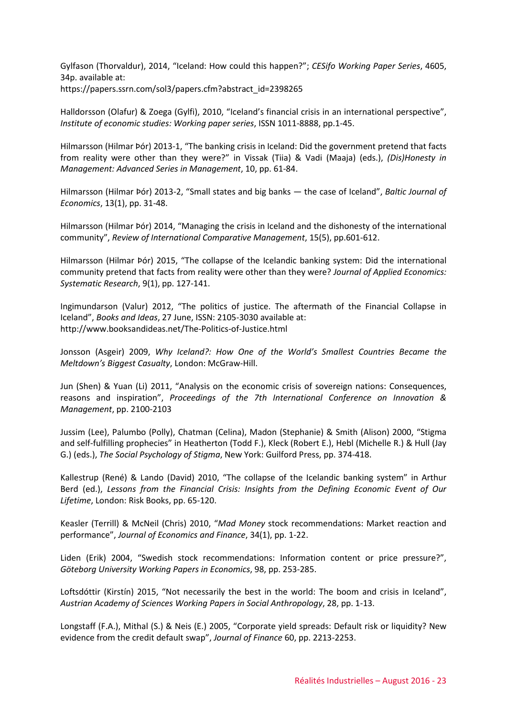Gylfason (Thorvaldur), 2014, "Iceland: How could this happen?"; *CESifo Working Paper Series*, 4605, 34p. available at: https://papers.ssrn.com/sol3/papers.cfm?abstract\_id=2398265

Halldorsson (Olafur) & Zoega (Gylfi), 2010, "Iceland's financial crisis in an international perspective", *Institute of economic studies: Working paper series*, ISSN 1011-8888, pp.1-45.

Hilmarsson (Hilmar Þór) 2013-1, "The banking crisis in Iceland: Did the government pretend that facts from reality were other than they were?" in Vissak (Tiia) & Vadi (Maaja) (eds.), *(Dis)Honesty in Management: Advanced Series in Management*, 10, pp. 61-84.

Hilmarsson (Hilmar Þór) 2013-2, "Small states and big banks — the case of Iceland", *Baltic Journal of Economics*, 13(1), pp. 31-48.

Hilmarsson (Hilmar Þór) 2014, "Managing the crisis in Iceland and the dishonesty of the international community", *Review of International Comparative Management*, 15(5), pp.601-612.

Hilmarsson (Hilmar Þór) 2015, "The collapse of the Icelandic banking system: Did the international community pretend that facts from reality were other than they were? *Journal of Applied Economics: Systematic Research*, 9(1), pp. 127-141.

Ingimundarson (Valur) 2012, "The politics of justice. The aftermath of the Financial Collapse in Iceland", *Books and Ideas*, 27 June, ISSN: 2105-3030 available at: http://www.booksandideas.net/The-Politics-of-Justice.html

Jonsson (Asgeir) 2009, *Why Iceland?: How One of the World's Smallest Countries Became the Meltdown's Biggest Casualty*, London: McGraw-Hill.

Jun (Shen) & Yuan (Li) 2011, "Analysis on the economic crisis of sovereign nations: Consequences, reasons and inspiration", *Proceedings of the 7th International Conference on Innovation & Management*, pp. 2100-2103

Jussim (Lee), Palumbo (Polly), Chatman (Celina), Madon (Stephanie) & Smith (Alison) 2000, "Stigma and self-fulfilling prophecies" in Heatherton (Todd F.), Kleck (Robert E.), Hebl (Michelle R.) & Hull (Jay G.) (eds.), *The Social Psychology of Stigma*, New York: Guilford Press, pp. 374-418.

Kallestrup (René) & Lando (David) 2010, "The collapse of the Icelandic banking system" in Arthur Berd (ed.), *Lessons from the Financial Crisis: Insights from the Defining Economic Event of Our Lifetime*, London: Risk Books, pp. 65-120.

Keasler (Terrill) & McNeil (Chris) 2010, "*Mad Money* stock recommendations: Market reaction and performance", *Journal of Economics and Finance*, 34(1), pp. 1-22.

Liden (Erik) 2004, "Swedish stock recommendations: Information content or price pressure?", *Göteborg University Working Papers in Economics*, 98, pp. 253-285.

Loftsdóttir (Kirstín) 2015, "Not necessarily the best in the world: The boom and crisis in Iceland", *Austrian Academy of Sciences Working Papers in Social Anthropology*, 28, pp. 1-13.

Longstaff (F.A.), Mithal (S.) & Neis (E.) 2005, "Corporate yield spreads: Default risk or liquidity? New evidence from the credit default swap", *Journal of Finance* 60, pp. 2213-2253.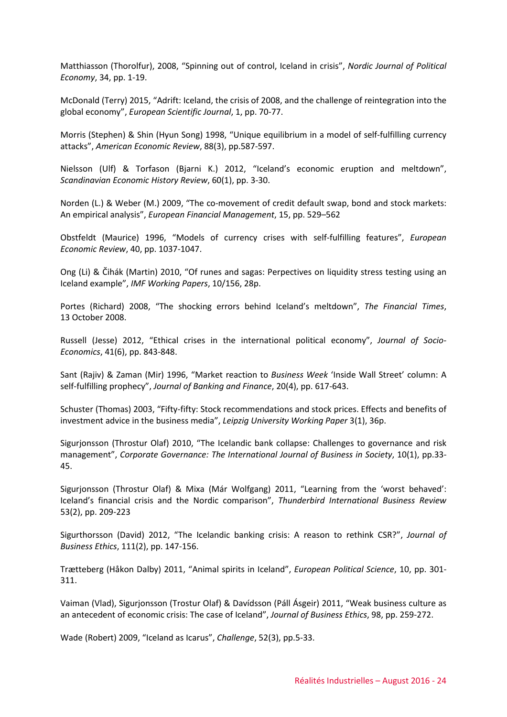Matthiasson (Thorolfur), 2008, "Spinning out of control, Iceland in crisis", *Nordic Journal of Political Economy*, 34, pp. 1-19.

McDonald (Terry) 2015, "Adrift: Iceland, the crisis of 2008, and the challenge of reintegration into the global economy", *European Scientific Journal*, 1, pp. 70-77.

Morris (Stephen) & Shin (Hyun Song) 1998, "Unique equilibrium in a model of self-fulfilling currency attacks", *American Economic Review*, 88(3), pp.587-597.

Nielsson (Ulf) & Torfason (Bjarni K.) 2012, "Iceland's economic eruption and meltdown", *Scandinavian Economic History Review*, 60(1), pp. 3-30.

Norden (L.) & Weber (M.) 2009, "The co-movement of credit default swap, bond and stock markets: An empirical analysis", *European Financial Management*, 15, pp. 529–562

Obstfeldt (Maurice) 1996, "Models of currency crises with self-fulfilling features", *European Economic Review*, 40, pp. 1037-1047.

Ong (Li) & Čihák (Martin) 2010, "Of runes and sagas: Perpectives on liquidity stress testing using an Iceland example", *IMF Working Papers*, 10/156, 28p.

Portes (Richard) 2008, "The shocking errors behind Iceland's meltdown", *The Financial Times*, 13 October 2008.

Russell (Jesse) 2012, "Ethical crises in the international political economy", *Journal of Socio-Economics*, 41(6), pp. 843-848.

Sant (Rajiv) & Zaman (Mir) 1996, "Market reaction to *Business Week* 'Inside Wall Street' column: A self-fulfilling prophecy", *Journal of Banking and Finance*, 20(4), pp. 617-643.

Schuster (Thomas) 2003, "Fifty-fifty: Stock recommendations and stock prices. Effects and benefits of investment advice in the business media", *Leipzig University Working Paper* 3(1), 36p.

Sigurjonsson (Throstur Olaf) 2010, "The Icelandic bank collapse: Challenges to governance and risk management", *Corporate Governance: The International Journal of Business in Society*, 10(1), pp.33- 45.

Sigurjonsson (Throstur Olaf) & Mixa (Már Wolfgang) 2011, "Learning from the 'worst behaved': Iceland's financial crisis and the Nordic comparison", *Thunderbird International Business Review* 53(2), pp. 209-223

Sigurthorsson (David) 2012, "The Icelandic banking crisis: A reason to rethink CSR?", *Journal of Business Ethics*, 111(2), pp. 147-156.

Trætteberg (Håkon Dalby) 2011, "Animal spirits in Iceland", *European Political Science*, 10, pp. 301- 311.

Vaiman (Vlad), Sigurjonsson (Trostur Olaf) & Davídsson (Páll Ásgeir) 2011, "Weak business culture as an antecedent of economic crisis: The case of Iceland", *Journal of Business Ethics*, 98, pp. 259-272.

Wade (Robert) 2009, "Iceland as Icarus", *Challenge*, 52(3), pp.5-33.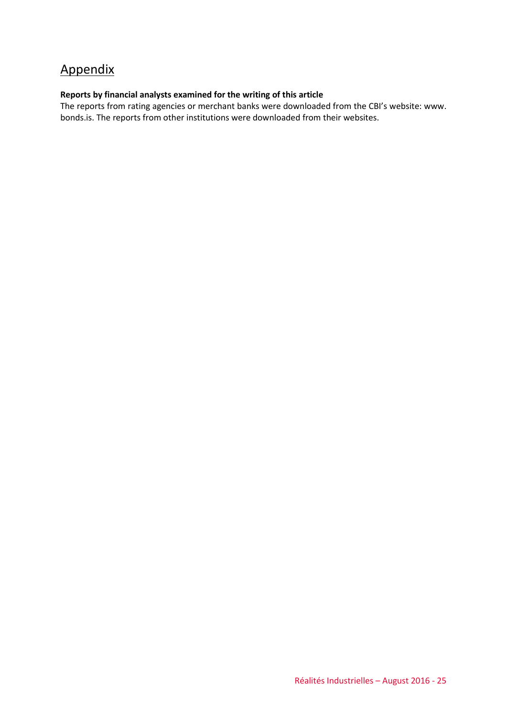# Appendix

#### **Reports by financial analysts examined for the writing of this article**

The reports from rating agencies or merchant banks were downloaded from the CBI's website: www. bonds.is. The reports from other institutions were downloaded from their websites.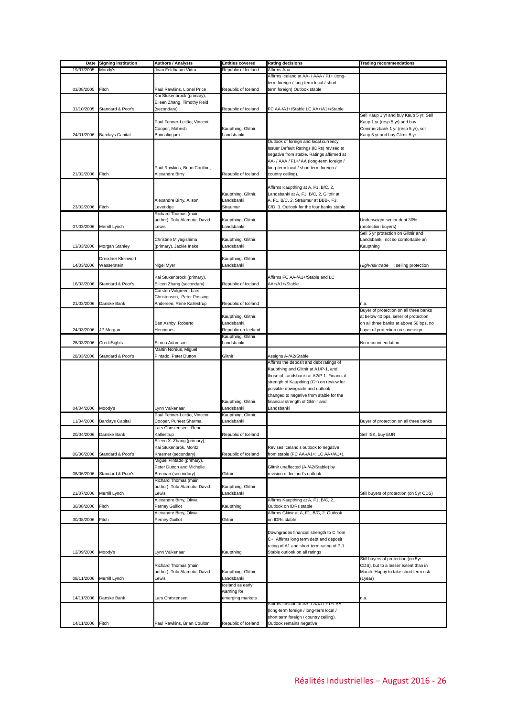| Date       | <b>Signing institution</b> | <b>Authors / Analysts</b>                     | <b>Entities covered</b> | <b>Rating decisions</b>                                                           | <b>Trading recommendations</b>          |
|------------|----------------------------|-----------------------------------------------|-------------------------|-----------------------------------------------------------------------------------|-----------------------------------------|
| 19/07/2005 | Moody's                    | Joan Feldbaum-Vidra                           | Republic of Iceland     | Affirms Aaa                                                                       |                                         |
|            |                            |                                               |                         | Affirms Iceland at AA- / AAA / F1+ (long-                                         |                                         |
|            |                            |                                               |                         | term foreign / long-term local / short                                            |                                         |
| 03/08/2005 | Fitch                      | Paul Rawkins, Lionel Price                    | Republic of Iceland     | term foreign) Outlook stable                                                      |                                         |
|            |                            | Kai Stukenbrock (primary),                    |                         |                                                                                   |                                         |
| 31/10/2005 | Standard & Poor's          | Eileen Zhang, Timothy Reid<br>(secondary)     | Republic of Iceland     | FC AA-/A1+/Stable LC AA+/A1+/Stable                                               |                                         |
|            |                            |                                               |                         |                                                                                   | Sell Kaup 1 yr and buy Kaup 5 yr, Sell  |
|            |                            | Paul Fenner-Leitão, Vincent                   |                         |                                                                                   | Kaup 1 yr (resp 5 yr) and buy           |
|            |                            | Cooper, Mahesh                                | Kaupthing, Glitnir,     |                                                                                   | Commerzbank 1 yr (resp 5 yr), sell      |
| 24/01/2006 | <b>Barclays Capital</b>    | Bhimalingam                                   | Landsbanki              |                                                                                   | Kaup 5 yr and buy Glitnir 5 yr          |
|            |                            |                                               |                         | Outlook of foreign and local currency                                             |                                         |
|            |                            |                                               |                         | Issuer Default Ratings (IDRs) revised to                                          |                                         |
|            |                            |                                               |                         | negative from stable. Ratings affirmed at                                         |                                         |
|            |                            |                                               |                         | AA- / AAA / F1+/ AA (long-term foreign /                                          |                                         |
|            |                            | Paul Rawkins, Brian Coulton,                  |                         | long-term local / short term foreign /                                            |                                         |
| 21/02/2006 | Fitch                      | Alexandre Birry                               | Republic of Iceland     | country ceiling).                                                                 |                                         |
|            |                            |                                               |                         | Affirms Kaupthing at A, F1, B/C, 2,                                               |                                         |
|            |                            |                                               | Kaupthing, Glitnir,     | Landsbanki at A, F1, B/C, 2, Glitnir at                                           |                                         |
|            |                            | Alexandre Birry, Alison                       | Landsbanki,             | A, F1, B/C, 2, Straumur at BBB-, F3,                                              |                                         |
| 23/02/2006 | Fitch                      | Leveridge                                     | Straumur                | C/D, 3. Outlook for the four banks stable                                         |                                         |
|            |                            | Richard Thomas (main                          |                         |                                                                                   |                                         |
|            |                            | author), Tolu Alamutu, David                  | Kaupthing, Glitnir,     |                                                                                   | Underweight senior debt 30%             |
| 07/03/2006 | Merrill Lynch              | Lewis                                         | Landsbanki              |                                                                                   | (protection buyers)                     |
|            |                            |                                               |                         |                                                                                   | Sell 5 yr protection on Glitnir and     |
|            |                            | Christine Miyagishima                         | Kaupthing, Glitnir,     |                                                                                   | Landsbanki, not so comfortable on       |
| 13/03/2006 | Morgan Stanley             | (primary), Jackie Ineke                       | Landsbanki              |                                                                                   | Kaupthing                               |
|            |                            |                                               |                         |                                                                                   |                                         |
|            | Dresdner Kleinwort         |                                               | Kaupthing, Glitnir,     |                                                                                   |                                         |
| 14/03/2006 | Wasserstein                | Nigel Myer                                    | Landsbanki              |                                                                                   | High-risk trade<br>: selling protection |
|            |                            | Kai Stukenbrock (primary),                    |                         | Affirms FC AA-/A1+/Stable and LC                                                  |                                         |
| 16/03/2006 | Standard & Poor's          | Eileen Zhang (secondary)                      | Republic of Iceland     | AA+/A1+/Stable                                                                    |                                         |
|            |                            | Carsten Valgreen, Lars                        |                         |                                                                                   |                                         |
|            |                            | Christensen, Peter Possing                    |                         |                                                                                   |                                         |
| 21/03/2006 | Danske Bank                | Andersen, Rene Kallestrup                     | Republic of Iceland     |                                                                                   | n.a.                                    |
|            |                            |                                               |                         |                                                                                   | Buyer of protection on all three banks  |
|            |                            |                                               | Kaupthing, Glitnir,     |                                                                                   | at below 40 bps, seller of protection   |
|            |                            | Ben Ashby, Roberto                            | Landsbanki,             |                                                                                   | on all three banks at above 50 bps, no  |
| 24/03/2006 | JP Morgan                  | Henriques                                     | Republic on Iceland     |                                                                                   | buyer of protection on sovereign        |
|            |                            |                                               | Kaupthing, Glitnir,     |                                                                                   |                                         |
| 26/03/2006 | CreditSights               | Simon Adamson                                 | Landsbanki              |                                                                                   | No recommendation                       |
|            |                            | Martin Noréus, Miguel                         |                         |                                                                                   |                                         |
| 28/03/2006 | Standard & Poor's          | Pintado, Peter Dutton                         | Glitnir                 | Assigns A-/A2/Stable                                                              |                                         |
|            |                            |                                               |                         | Affirms the deposit and debt ratings of<br>Kaupthing and Glitnir at A1/P-1, and   |                                         |
|            |                            |                                               |                         | those of Landsbanki at A2/P-1. Financial                                          |                                         |
|            |                            |                                               |                         | strength of Kaupthing (C+) on review for                                          |                                         |
|            |                            |                                               |                         | possible downgrade and outlook                                                    |                                         |
|            |                            |                                               |                         | changed to negative from stable for the                                           |                                         |
|            |                            |                                               | Kaupthing, Glitnir,     | financial strength of Glitnir and                                                 |                                         |
| 04/04/2006 | Moody's                    | Lynn Valkenaar                                | Landsbanki              | Landsbanki                                                                        |                                         |
|            |                            | Paul Fenner-Leitão, Vincent                   | Kaupthing, Glitnir,     |                                                                                   |                                         |
| 11/04/2006 | <b>Barclays Capital</b>    | Cooper, Puneet Sharma                         | Landsbanki              |                                                                                   | Buyer of protection on all three banks  |
|            |                            | Lars Christensen, Rene                        |                         |                                                                                   |                                         |
| 20/04/2006 | Danske Bank                | Kallestrup                                    | Republic of Iceland     |                                                                                   | Sell ISK, buy EUR                       |
|            |                            | Eileen X. Zhang (primary),                    |                         | Revises Iceland's outlook to negative                                             |                                         |
| 06/06/2006 | Standard & Poor's          | Kai Stukenbrok, Moritz<br>Kraemer (secondary) | Republic of Iceland     | from stable (FC AA-/A1+; LC AA+/A1+).                                             |                                         |
|            |                            | Miguel Pintado (primary),                     |                         |                                                                                   |                                         |
|            |                            | Peter Dutton and Michelle                     |                         | Glitnir unaffected (A-/A2/Stable) by                                              |                                         |
| 06/06/2006 | Standard & Poor's          | Brennan (secondary)                           | Glitnir                 | revision of Iceland's outlook                                                     |                                         |
|            |                            | Richard Thomas (main                          |                         |                                                                                   |                                         |
|            |                            | author), Tolu Alamutu, David                  | Kaupthing, Glitnir,     |                                                                                   |                                         |
| 21/07/2006 | Merrill Lynch              | Lewis                                         | Landsbanki              |                                                                                   | Still buyers of protection (on 5yr CDS) |
|            |                            | Alexandre Birry, Olivia                       |                         | Affirms Kaupthing at A, F1, B/C, 2.                                               |                                         |
| 30/08/2006 | Fitch                      | Perney Guillot                                | Kaupthing               | Outlook on IDRs stable                                                            |                                         |
|            |                            | Alexandre Birry, Olivia                       |                         | Affirms Glitnir at A, F1, B/C, 2. Outlook                                         |                                         |
| 30/08/2006 | Fitch                      | Perney Guillot                                | Glitnir                 | on IDRs stable                                                                    |                                         |
|            |                            |                                               |                         |                                                                                   |                                         |
|            |                            |                                               |                         | Downgrades financial strength to C from<br>C+. Affirms long term debt and deposit |                                         |
|            |                            |                                               |                         | rating of A1 and short-term rating of P-1.                                        |                                         |
| 12/09/2006 | Moody's                    | Lynn Valkenaar                                | Kaupthing               | Stable outlook on all ratings                                                     |                                         |
|            |                            |                                               |                         |                                                                                   | Still buyers of protection (on 5yr      |
|            |                            | Richard Thomas (main                          |                         |                                                                                   | CDS), but to a lesser extent than in    |
|            |                            | author), Tolu Alamutu, David                  | Kaupthing, Glitnir,     |                                                                                   | March. Happy to take short term risk    |
| 08/11/2006 | Merrill Lynch              | Lewis                                         | Landsbanki              |                                                                                   | (1year)                                 |
|            |                            |                                               | Iceland as early        |                                                                                   |                                         |
|            |                            |                                               | warning for             |                                                                                   |                                         |
| 14/11/2006 | Danske Bank                | ars Christensen                               | emerging markets        |                                                                                   | n.a.                                    |
|            |                            |                                               |                         | Affirms Iceland at AA- / AAA / F1+/ AA                                            |                                         |
|            |                            |                                               |                         | (long-term foreign / long-term local /                                            |                                         |
|            |                            |                                               |                         | short term foreign / country ceiling).                                            |                                         |
| 14/11/2006 | Fitch                      | Paul Rawkins, Brian Coulton                   | Republic of Iceland     | Outlook remains negative                                                          |                                         |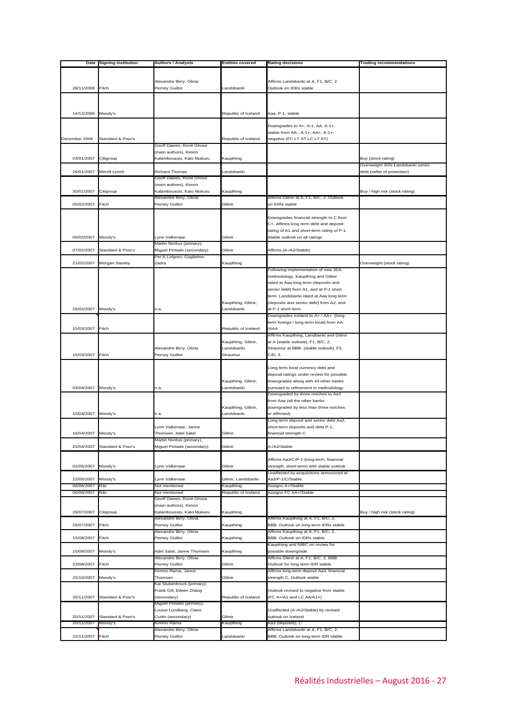| Date          | <b>Signing institution</b> | <b>Authors / Analysts</b>  | <b>Entities covered</b> | <b>Rating decisions</b>                    | <b>Trading recommendations</b>   |
|---------------|----------------------------|----------------------------|-------------------------|--------------------------------------------|----------------------------------|
|               |                            |                            |                         |                                            |                                  |
|               |                            |                            |                         |                                            |                                  |
|               |                            | Alexandre Birry, Olivia    |                         | Affirms Landsbanki at A, F1, B/C, 2.       |                                  |
| 28/11/2006    | Fitch                      | Perney Guillot             | Landsbanki              | Outlook on IDRs stable                     |                                  |
|               |                            |                            |                         |                                            |                                  |
|               |                            |                            |                         |                                            |                                  |
|               |                            |                            |                         |                                            |                                  |
| 14/12/2006    | Moody's                    |                            | Republic of Iceland     | Aaa, P-1, stable                           |                                  |
|               |                            |                            |                         |                                            |                                  |
|               |                            |                            |                         | Downgrades to A+, A-1, AA, A-1+,           |                                  |
|               |                            |                            |                         | stable from AA-, A-1+, AA+, A-1+,          |                                  |
| December 2006 | Standard & Poor's          |                            | Republic of Iceland     | negative (FC LT ST LC LT ST)               |                                  |
|               |                            | Geoff Dawes, Ronit Ghose   |                         |                                            |                                  |
|               |                            | (main authors), Kimon      |                         |                                            |                                  |
| 03/01/2007    | Citigroup                  | Kalamboussis, Kato Mukuru  | Kaupthing               |                                            | Buy (stock rating)               |
|               |                            |                            |                         |                                            |                                  |
|               |                            |                            |                         |                                            | Overweight 30% Landsbanki senior |
| 26/01/2007    | Merrill Lynch              | <b>Richard Thomas</b>      | Landsbanki              |                                            | debt (seller of protection)      |
|               |                            | Geoff Dawes, Ronit Ghose   |                         |                                            |                                  |
|               |                            | (main authors), Kimon      |                         |                                            |                                  |
| 30/01/2007    | Citigroup                  | Kalamboussis, Kato Mukuru  | Kaupthing               |                                            | Buy / high risk (stock rating)   |
|               |                            | Alexandre Birry, Olivia    |                         | Affirms Glitnir at A, F1, B/C, 2. Outlook  |                                  |
| 05/02/2007    | Fitch                      | Perney Guillot             | Glitnir                 | on IDRs stable                             |                                  |
|               |                            |                            |                         |                                            |                                  |
|               |                            |                            |                         | Downgrades financial strength to C from    |                                  |
|               |                            |                            |                         | C+. Affirms long term debt and deposit     |                                  |
|               |                            |                            |                         | rating of A1 and short-term rating of P-1. |                                  |
| 06/02/2007    | Moody's                    | Lynn Valkenaar             | Glitnir                 | Stable outlook on all ratings              |                                  |
|               |                            | Martin Noréus (primary),   |                         |                                            |                                  |
| 07/02/2007    | Standard & Poor's          |                            | Glitnir                 | Affirms (A-/A2/Stable)                     |                                  |
|               |                            | Miguel Pintado (secondary) |                         |                                            |                                  |
|               |                            | Per K Lofgren, Guglielmo   |                         |                                            |                                  |
| 21/02/2007    | Morgan Stanley             | Zadra                      | Kaupthing               |                                            | Overweight (stock rating)        |
|               |                            |                            |                         | Following implementation of new JDA        |                                  |
|               |                            |                            |                         | methodology, Kaupthing and Glitnir         |                                  |
|               |                            |                            |                         | rated at Aaa long term (deposits and       |                                  |
|               |                            |                            |                         | senior debt) from A1, and at P-1 short     |                                  |
|               |                            |                            |                         | term. Landsbanki rated at Aaa long term    |                                  |
|               |                            |                            | Kaupthing, Glitnir,     | (deposits and senior debt) from A2, and    |                                  |
| 26/02/2007    | Moody's                    | n.a.                       | Landsbanki              | at P-1 short term.                         |                                  |
|               |                            |                            |                         | Downgrades Iceland to A+ / AA+ (long-      |                                  |
|               |                            |                            |                         | term foreign / long-term local) from AA-   |                                  |
| 15/03/2007    | Fitch                      |                            | Republic of Iceland     | /AAA                                       |                                  |
|               |                            |                            |                         |                                            |                                  |
|               |                            |                            |                         | Affirms Kaupthing, Landbanki and Glitnir   |                                  |
|               |                            |                            | Kaupthing, Glitnir,     | at A (stable outlook), F1, B/C, 2,         |                                  |
|               |                            | Alexandre Birry, Olivia    | Landsbanki,             | Straumur at BBB- (stable outlook), F3,     |                                  |
| 15/03/2007    | Fitch                      | Perney Guillot             | Straumur                | $C/D$ , 3.                                 |                                  |
|               |                            |                            |                         |                                            |                                  |
|               |                            |                            |                         | Long term local currency debt and          |                                  |
|               |                            |                            |                         | deposit ratings under review for possible  |                                  |
|               |                            |                            | Kaupthing, Glitnir,     | downgrades along with 43 other banks       |                                  |
| 03/04/2007    | Moody's                    | n.a.                       | Landsbanki              | pursuant to refinement in methodology      |                                  |
|               |                            |                            |                         | Downgraded by three notches to Aa3         |                                  |
|               |                            |                            |                         | from Aaa (all the other banks              |                                  |
|               |                            |                            | Kaupthing, Glitnir,     | downgraded by less than three notches      |                                  |
| 10/04/2007    | Moody's                    | n.a.                       | Landsbanki              | or affirmed)                               |                                  |
|               |                            |                            |                         | Long-term deposit and senior debt Aa3,     |                                  |
|               |                            |                            |                         |                                            |                                  |
|               |                            | Lynn Valkenaar, Janne      |                         | short-term deposits and debt P-1,          |                                  |
| 16/04/2007    | Moody's                    | Thomsen, Adel Satel        | Glitnir                 | financial strength C                       |                                  |
|               |                            | Martin Noréus (primary)    |                         |                                            |                                  |
| 25/04/2007    | Standard & Poor's          | Miguel Pintado (secondary) | Glitnir                 | A-/A2/Stable                               |                                  |
|               |                            |                            |                         |                                            |                                  |
|               |                            |                            |                         | Affirms Aa3/C/P-1 (long-term, financial    |                                  |
| 02/05/2007    | Moody's                    | Lynn Valkenaar             | Glitnir                 | strength, short-term) with stable outlook  |                                  |
|               |                            |                            |                         | Unaffected by acquisitions announced at    |                                  |
| 22/05/2007    | Moody's                    | Lynn Valkenaar             | Glitnir, Landsbanki     | Aa3/P-1/C/Stable                           |                                  |
| 06/06/2007    | R&I                        | Not mentioned              | Kaupthing               | Assigns A+/Stable                          |                                  |
| 06/06/2007    | R&I                        | Not mentioned              | Republic of Iceland     | Assigns FC AA+/Stable                      |                                  |
|               |                            | Geoff Dawes, Ronit Ghose   |                         |                                            |                                  |
|               |                            | (main authors), Kimon      |                         |                                            |                                  |
| 26/07/2007    | Citigroup                  | Kalamboussis, Kato Mukuru  | Kaupthing               |                                            | Buy / high risk (stock rating)   |
|               |                            | Alexandre Birry, Olivia    |                         | Affirms Kaupthing at A, F1, B/C, 2,        |                                  |
| 26/07/2007    | Fitch                      | Perney Guillot             | Kaupthing               | BBB. Outlook on long-term IDRs stable      |                                  |
|               |                            | Alexandre Birry, Olivia    |                         | Affirms Kaupthing at A, F1, B/C, 2,        |                                  |
|               |                            |                            |                         |                                            |                                  |
| 15/08/2007    | Fitch                      | Perney Guillot             | Kaupthing               | BBB. Outlook on IDRs stable                |                                  |
|               |                            |                            |                         | Kaupthing and NIBC on review for           |                                  |
| 15/08/2007    | Moody's                    | Adel Satel, Janne Thomsen  | Kaupthing               | possible downgrade                         |                                  |
|               |                            | Alexandre Birry, Olivia    |                         | Affirms Glitnir at A, F1, B/C, 2, BBB.     |                                  |
| 23/08/2007    | Fitch                      | Perney Guillot             | Glitnir                 | Outlook for long-term IDR stable           |                                  |
|               |                            | Kimmo Rama, Janne          |                         | Affirms long-term deposit Aa3, financial   |                                  |
| 25/10/2007    | Moody's                    | Thomsen                    | Glitnir                 | strength C. Outlook stable                 |                                  |
|               |                            | Kai Stukenbrock (primary), |                         |                                            |                                  |
|               |                            | Frank Gill, Eileen Zhang   |                         | Outlook revised to negative from stable    |                                  |
| 20/11/2007    | Standard & Poor's          | (secondary)                | Republic of Iceland     | (FC A+/A1 and LC AA/A1+)                   |                                  |
|               |                            | Miguel Pintado (primary),  |                         |                                            |                                  |
|               |                            | Louise Lundberg, Claire    |                         | Jnaffected (A-/A2/Stable) by revised       |                                  |
| 20/11/2007    | Standard & Poor's          | Curtin (secondary)         | Glitnir                 | outlook on Iceland                         |                                  |
|               |                            |                            |                         |                                            |                                  |
| 20/11/2007    | Moody's                    | Kimmo Rama                 | Kaupthing               | Aa3 (deposits), C                          |                                  |
|               |                            | Alexandre Birry, Olivia    |                         | Affirms Landsbanki at A, F1, B/C, 2,       |                                  |
| 22/11/2007    | Fitch                      | Perney Guillot             | andsbanki               | BBB. Outlook on long-term IDR stable       |                                  |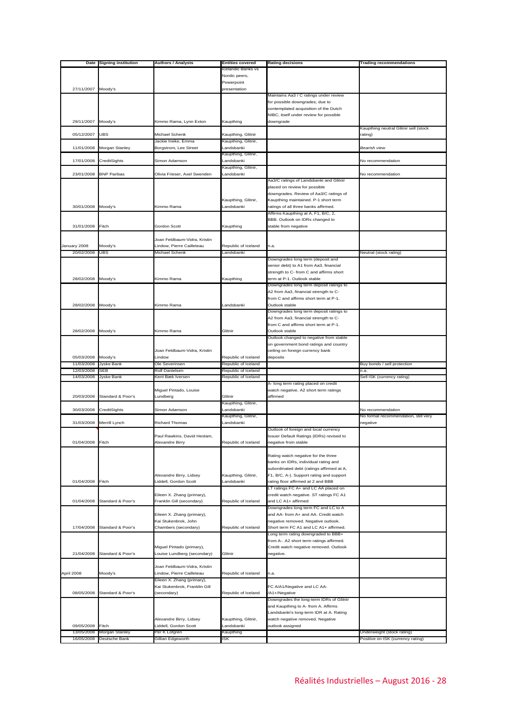| Date         | <b>Signing institution</b> | Authors / Analysts                               | <b>Entities covered</b>           | <b>Rating decisions</b>                                                            | <b>Trading recommendations</b>        |
|--------------|----------------------------|--------------------------------------------------|-----------------------------------|------------------------------------------------------------------------------------|---------------------------------------|
|              |                            |                                                  | Icelandic Banks vs                |                                                                                    |                                       |
|              |                            |                                                  | Nordic peers,                     |                                                                                    |                                       |
|              |                            |                                                  | Powerpoint                        |                                                                                    |                                       |
| 27/11/2007   | Moody's                    |                                                  | presentation                      |                                                                                    |                                       |
|              |                            |                                                  |                                   | Maintains Aa3 / C ratings under review                                             |                                       |
|              |                            |                                                  |                                   | for possible downgrades, due to                                                    |                                       |
|              |                            |                                                  |                                   | contemplated acquisition of the Dutch                                              |                                       |
| 29/11/2007   | Moody's                    |                                                  |                                   | NIBC, itself under review for possible<br>downgrade                                |                                       |
|              |                            | Kimmo Rama, Lynn Exton                           | Kaupthing                         |                                                                                    | Kaupthing neutral Glitnir sell (stock |
| 05/12/2007   | <b>UBS</b>                 | Michael Schenk                                   | Kaupthing, Glitnir                |                                                                                    | rating)                               |
|              |                            | Jackie Ineke, Emma                               | Kaupthing, Glitnir,               |                                                                                    |                                       |
| 11/01/2008   | Morgan Stanley             | Borgstrom, Lee Street                            | Landsbanki                        |                                                                                    | Bearish view                          |
|              |                            |                                                  | Kaupthing, Glitnir,               |                                                                                    |                                       |
| 17/01/2008   | CreditSights               | Simon Adamson                                    | Landsbanki                        |                                                                                    | No recommendation                     |
|              |                            |                                                  | Kaupthing, Glitnir,               |                                                                                    |                                       |
| 23/01/2008   | <b>BNP Paribas</b>         | Olivia Frieser, Axel Swenden                     | andsbanki                         |                                                                                    | No recommendation                     |
|              |                            |                                                  |                                   | Aa3/C ratings of Landsbanki and Glitnir                                            |                                       |
|              |                            |                                                  |                                   | placed on review for possible<br>downgrades. Review of Aa3/C ratings of            |                                       |
|              |                            |                                                  | Kaupthing, Glitnir,               | Kaupthing maintained. P-1 short term                                               |                                       |
| 30/01/2008   | Moody's                    | Kimmo Rama                                       | Landsbanki                        | ratings of all three banks affirmed.                                               |                                       |
|              |                            |                                                  |                                   | Affirms Kaupthing at A, F1, B/C, 2,                                                |                                       |
|              |                            |                                                  |                                   | BBB. Outlook on IDRs changed to                                                    |                                       |
| 31/01/2008   | Fitch                      | Gordon Scott                                     | Kaupthing                         | stable from negative                                                               |                                       |
|              |                            |                                                  |                                   |                                                                                    |                                       |
|              |                            | Joan Feldbaum-Vidra, Kristin                     |                                   |                                                                                    |                                       |
| January 2008 | Moody's                    | Lindow, Pierre Cailleteau                        | Republic of Iceland               | n.a.                                                                               |                                       |
| 20/02/2008   | <b>UBS</b>                 | <b>Michael Schenk</b>                            | Landsbanki                        |                                                                                    | Neutral (stock rating)                |
|              |                            |                                                  |                                   | Downgrades long term (deposit and<br>senior debt) to A1 from Aa3, financial        |                                       |
|              |                            |                                                  |                                   | strength to C- from C and affirms short                                            |                                       |
| 28/02/2008   | Moody's                    | Kimmo Rama                                       | Kaupthing                         | term at P-1. Outlook stable                                                        |                                       |
|              |                            |                                                  |                                   | Downgrades long term deposit ratings to                                            |                                       |
|              |                            |                                                  |                                   | A2 from Aa3, financial strength to C-                                              |                                       |
|              |                            |                                                  |                                   | from C and affirms short term at P-1.                                              |                                       |
| 28/02/2008   | Moody's                    | Kimmo Rama                                       | Landsbanki                        | Outlook stable                                                                     |                                       |
|              |                            |                                                  |                                   | Downgrades long term deposit ratings to                                            |                                       |
|              |                            |                                                  |                                   | A2 from Aa3, financial strength to C-                                              |                                       |
|              |                            |                                                  |                                   | from C and affirms short term at P-1.                                              |                                       |
| 28/02/2008   | Moody's                    | Kimmo Rama                                       | Glitnir                           | Outlook stable<br>Outlook changed to negative from stable                          |                                       |
|              |                            |                                                  |                                   | on government bond ratings and country                                             |                                       |
|              |                            | Joan Feldbaum-Vidra, Kristin                     |                                   | ceiling on foreign currency bank                                                   |                                       |
| 05/03/2008   | Moody's                    | Lindow                                           | Republic of Iceland               | deposits                                                                           |                                       |
| 11/03/2008   | <b>Jyske Bank</b>          | Ole Severinsen                                   | Republic of Iceland               |                                                                                    | Buy bonds / sell protection           |
| 12/03/2008   | SEB                        | Rolf Danielsen                                   | Republic of Iceland               |                                                                                    | n.a.                                  |
| 14/03/2008   | <b>Jyske Bank</b>          | Kent Bæk Iversen                                 | Republic of Iceland               |                                                                                    | Sell ISK (currency rating)            |
|              |                            |                                                  |                                   | A- long term rating placed on credit                                               |                                       |
|              |                            | Miguel Pintado, Louise                           |                                   | watch negative. A2 short term ratings                                              |                                       |
| 20/03/2008   | Standard & Poor's          | Lundberg                                         | Glitnir                           | affirmed                                                                           |                                       |
| 30/03/2008   | CreditSights               | Simon Adamson                                    | Kaupthing, Glitnir,<br>Landsbanki |                                                                                    | No recommendation                     |
|              |                            |                                                  | Kaupthing, Glitnir,               |                                                                                    | No formal recommendation, still very  |
| 31/03/2008   | Merrill Lynch              | <b>Richard Thomas</b>                            | Landsbanki                        |                                                                                    | negative                              |
|              |                            |                                                  |                                   | Outlook of foreign and local currency                                              |                                       |
|              |                            | Paul Rawkins, David Heslam,                      |                                   | Issuer Default Ratings (IDRs) revised to                                           |                                       |
| 01/04/2008   | Fitch                      | Alexandre Birry                                  | Republic of Iceland               | negative from stable                                                               |                                       |
|              |                            |                                                  |                                   |                                                                                    |                                       |
|              |                            |                                                  |                                   | Rating watch negative for the three                                                |                                       |
|              |                            |                                                  |                                   | banks on IDRs, individual rating and                                               |                                       |
|              |                            |                                                  |                                   | subordinated debt (ratings affirmed at A,                                          |                                       |
| 01/04/2008   | Fitch                      | Alexandre Birry, Lidsey<br>Liddell, Gordon Scott | Kaupthing, Glitnir,<br>Landsbanki | F1, B/C, A-). Support rating and support<br>rating floor affirmed at 2 and BBB     |                                       |
|              |                            |                                                  |                                   | LT ratings FC A+ and LC AA placed on                                               |                                       |
|              |                            | Eileen X. Zhang (primary),                       |                                   | credit watch negative. ST ratings FC A1                                            |                                       |
| 01/04/2008   | Standard & Poor's          | Franklin Gill (secondary)                        | Republic of Iceland               | and LC A1+ affirmed                                                                |                                       |
|              |                            |                                                  |                                   | Downgrades long term FC and LC to A                                                |                                       |
|              |                            | Eileen X. Zhang (primary),                       |                                   | and AA- from A+ and AA. Credit watch                                               |                                       |
|              |                            | Kai Stukenbrok, John                             |                                   | negative removed. Negative outlook.                                                |                                       |
| 17/04/2008   | Standard & Poor's          | Chambers (secondary)                             | Republic of Iceland               | Short term FC A1 and LC A1+ affirmed.                                              |                                       |
|              |                            |                                                  |                                   | Long term rating downgraded to BBB+                                                |                                       |
|              |                            | Miguel Pintado (primary),                        |                                   | from A-. A2 short term ratings affirmed.<br>Credit watch negative removed. Outlook |                                       |
| 21/04/2008   | Standard & Poor's          | Louise Lundberg (secondary)                      | Glitnir                           | negative.                                                                          |                                       |
|              |                            |                                                  |                                   |                                                                                    |                                       |
|              |                            | Joan Feldbaum-Vidra, Kristin                     |                                   |                                                                                    |                                       |
| April 2008   | Moody's                    | Lindow, Pierre Cailleteau                        | Republic of Iceland               | n.a.                                                                               |                                       |
|              |                            | Eileen X. Zhang (primary),                       |                                   |                                                                                    |                                       |
|              |                            | Kai Stukenbrok, Franklin Gill                    |                                   | FC A/A1/Negative and LC AA-                                                        |                                       |
| 08/05/2008   | Standard & Poor's          | (secondary)                                      | Republic of Iceland               | /A1+/Negative                                                                      |                                       |
|              |                            |                                                  |                                   | Downgrades the long-term IDRs of Glitnir                                           |                                       |
|              |                            |                                                  |                                   | and Kaupthing to A- from A. Affirms                                                |                                       |
|              |                            | Alexandre Birry, Lidsey                          | Kaupthing, Glitnir,               | Landsbanki's long-term IDR at A. Rating<br>watch negative removed. Negative        |                                       |
| 09/05/2008   | Fitch                      | Liddell, Gordon Scott                            | Landsbanki                        | outlook assigned                                                                   |                                       |
| 13/05/2008   | Morgan Stanley             | Per K Lofgren                                    | Kaupthing                         |                                                                                    | Underweight (stock rating)            |
| 16/05/2008   | Deutsche Bank              | Gillian Edgeworth                                | ISK                               |                                                                                    | Positive on ISK (currency rating)     |
|              |                            |                                                  |                                   |                                                                                    |                                       |